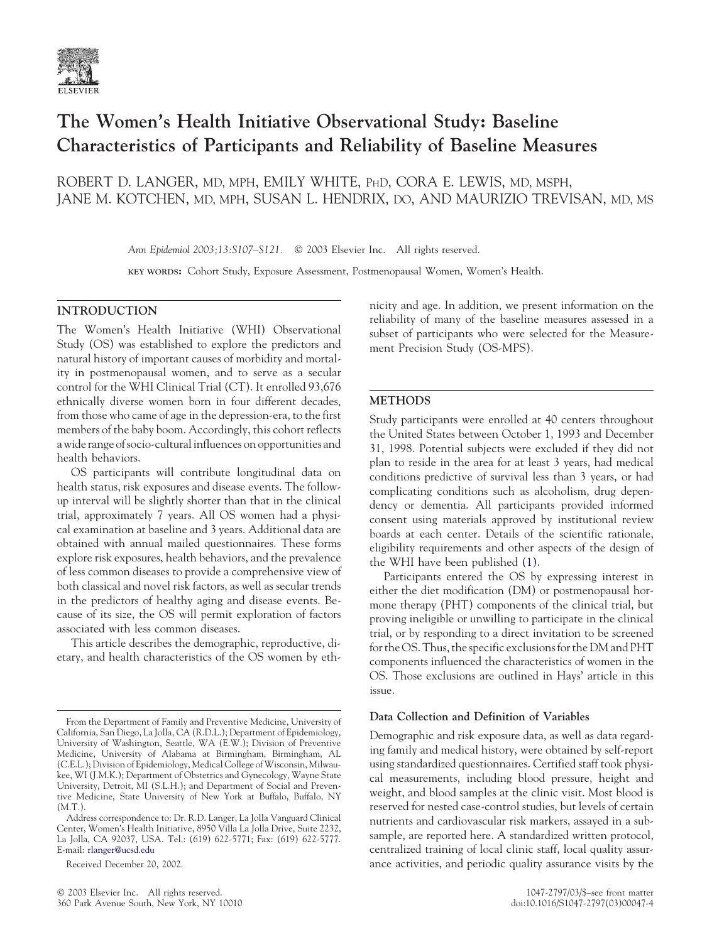

# **The Women's Health Initiative Observational Study: Baseline Characteristics of Participants and Reliability of Baseline Measures**

ROBERT D. LANGER, MD, MPH, EMILY WHITE, PHD, CORA E. LEWIS, MD, MSPH, JANE M. KOTCHEN, MD, MPH, SUSAN L. HENDRIX, DO, AND MAURIZIO TREVISAN, MD, MS

Ann Epidemiol 2003;13:S107-S121. © 2003 Elsevier Inc. All rights reserved.

**KEY WORDS:** Cohort Study, Exposure Assessment, Postmenopausal Women, Women's Health.

# **INTRODUCTION**

The Women's Health Initiative (WHI) Observational Study (OS) was established to explore the predictors and natural history of important causes of morbidity and mortality in postmenopausal women, and to serve as a secular control for the WHI Clinical Trial (CT). It enrolled 93,676 ethnically diverse women born in four different decades, from those who came of age in the depression-era, to the first members of the baby boom. Accordingly, this cohort reflects a wide range of socio-culturalinfluences on opportunities and health behaviors.

OS participants will contribute longitudinal data on health status, risk exposures and disease events. The followup interval will be slightly shorter than that in the clinical trial, approximately 7 years. All OS women had a physical examination at baseline and 3 years. Additional data are obtained with annual mailed questionnaires. These forms explore risk exposures, health behaviors, and the prevalence of less common diseases to provide a comprehensive view of both classical and novel risk factors, as well as secular trends in the predictors of healthy aging and disease events. Because of its size, the OS will permit exploration of factors associated with less common diseases.

This article describes the demographic, reproductive, dietary, and health characteristics of the OS women by eth-

Received December 20, 2002.

nicity and age. In addition, we present information on the reliability of many of the baseline measures assessed in a subset of participants who were selected for the Measurement Precision Study (OS-MPS).

## **METHODS**

Study participants were enrolled at 40 centers throughout the United States between October 1, 1993 and December 31, 1998. Potential subjects were excluded if they did not plan to reside in the area for at least 3 years, had medical conditions predictive of survival less than 3 years, or had complicating conditions such as alcoholism, drug dependency or dementia. All participants provided informed consent using materials approved by institutional review boards at each center. Details of the scientific rationale, eligibility requirements and other aspects of the design of the WHI have been published [\(1\).](#page-14-0)

Participants entered the OS by expressing interest in either the diet modification (DM) or postmenopausal hormone therapy (PHT) components of the clinical trial, but proving ineligible or unwilling to participate in the clinical trial, or by responding to a direct invitation to be screened for the OS. Thus, the specific exclusions for the DM and PHT components influenced the characteristics of women in the OS. Those exclusions are outlined in Hays' article in this issue.

# **Data Collection and Definition of Variables**

Demographic and risk exposure data, as well as data regarding family and medical history, were obtained by self-report using standardized questionnaires. Certified staff took physical measurements, including blood pressure, height and weight, and blood samples at the clinic visit. Most blood is reserved for nested case-control studies, but levels of certain nutrients and cardiovascular risk markers, assayed in a subsample, are reported here. A standardized written protocol, centralized training of local clinic staff, local quality assurance activities, and periodic quality assurance visits by the

From the Department of Family and Preventive Medicine, University of California, San Diego, La Jolla, CA (R.D.L.); Department of Epidemiology, University of Washington, Seattle, WA (E.W.); Division of Preventive Medicine, University of Alabama at Birmingham, Birmingham, AL (C.E.L.); Division of Epidemiology, Medical College of Wisconsin, Milwaukee, WI (J.M.K.); Department of Obstetrics and Gynecology, Wayne State University, Detroit, MI (S.L.H.); and Department of Social and Preventive Medicine, State University of New York at Buffalo, Buffalo, NY (M.T.).

Address correspondence to: Dr. R.D. Langer, La Jolla Vanguard Clinical Center, Women's Health Initiative, 8950 Villa La Jolla Drive, Suite 2232, La Jolla, CA 92037, USA. Tel.: (619) 622-5771; Fax: (619) 622-5777. E-mail: [rlanger@ucsd.edu](mailto:rlanger@ucsd.edu)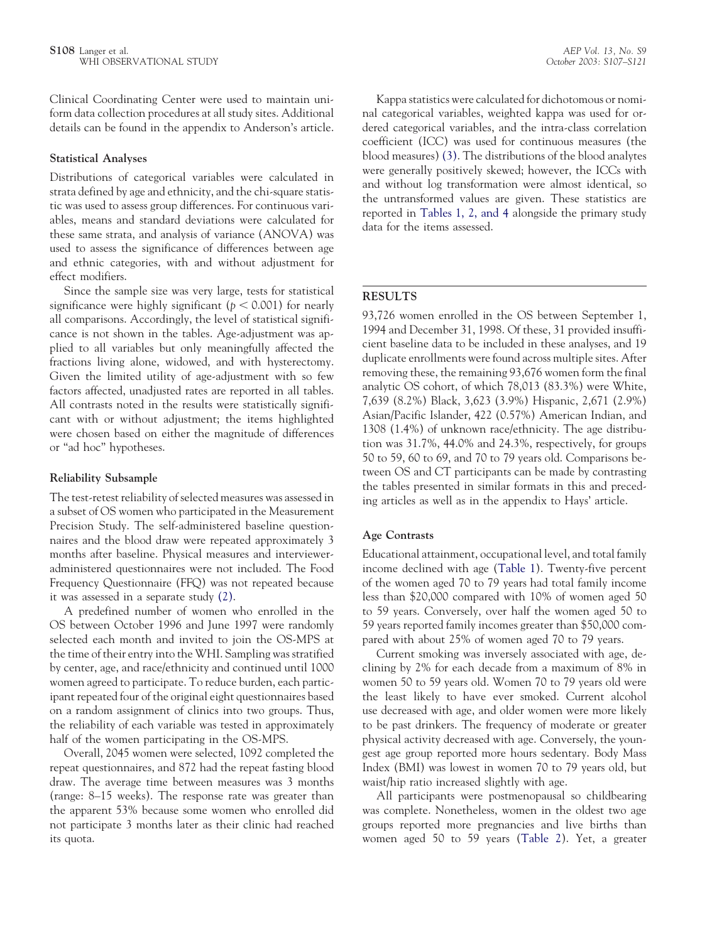Clinical Coordinating Center were used to maintain uniform data collection procedures at all study sites. Additional details can be found in the appendix to Anderson's article.

#### **Statistical Analyses**

Distributions of categorical variables were calculated in strata defined by age and ethnicity, and the chi-square statistic was used to assess group differences. For continuous variables, means and standard deviations were calculated for these same strata, and analysis of variance (ANOVA) was used to assess the significance of differences between age and ethnic categories, with and without adjustment for effect modifiers.

Since the sample size was very large, tests for statistical significance were highly significant ( $p < 0.001$ ) for nearly all comparisons. Accordingly, the level of statistical significance is not shown in the tables. Age-adjustment was applied to all variables but only meaningfully affected the fractions living alone, widowed, and with hysterectomy. Given the limited utility of age-adjustment with so few factors affected, unadjusted rates are reported in all tables. All contrasts noted in the results were statistically significant with or without adjustment; the items highlighted were chosen based on either the magnitude of differences or "ad hoc" hypotheses.

## **Reliability Subsample**

The test-retest reliability of selected measures was assessed in a subset of OS women who participated in the Measurement Precision Study. The self-administered baseline questionnaires and the blood draw were repeated approximately 3 months after baseline. Physical measures and intervieweradministered questionnaires were not included. The Food Frequency Questionnaire (FFQ) was not repeated because it was assessed in a separate study [\(2\).](#page-14-0)

A predefined number of women who enrolled in the OS between October 1996 and June 1997 were randomly selected each month and invited to join the OS-MPS at the time of their entry into the WHI. Sampling was stratified by center, age, and race/ethnicity and continued until 1000 women agreed to participate. To reduce burden, each participant repeated four of the original eight questionnaires based on a random assignment of clinics into two groups. Thus, the reliability of each variable was tested in approximately half of the women participating in the OS-MPS.

Overall, 2045 women were selected, 1092 completed the repeat questionnaires, and 872 had the repeat fasting blood draw. The average time between measures was 3 months (range: 8–15 weeks). The response rate was greater than the apparent 53% because some women who enrolled did not participate 3 months later as their clinic had reached its quota.

Kappa statistics were calculated for dichotomous or nominal categorical variables, weighted kappa was used for ordered categorical variables, and the intra-class correlation coefficient (ICC) was used for continuous measures (the blood measures) [\(3\).](#page-14-0) The distributions of the blood analytes were generally positively skewed; however, the ICCs with and without log transformation were almost identical, so the untransformed values are given. These statistics are reported in [Tables 1, 2, and 4](#page-2-0) alongside the primary study data for the items assessed.

## **RESULTS**

93,726 women enrolled in the OS between September 1, 1994 and December 31, 1998. Of these, 31 provided insufficient baseline data to be included in these analyses, and 19 duplicate enrollments were found across multiple sites. After removing these, the remaining 93,676 women form the final analytic OS cohort, of which 78,013 (83.3%) were White, 7,639 (8.2%) Black, 3,623 (3.9%) Hispanic, 2,671 (2.9%) Asian/Pacific Islander, 422 (0.57%) American Indian, and 1308 (1.4%) of unknown race/ethnicity. The age distribution was 31.7%, 44.0% and 24.3%, respectively, for groups 50 to 59, 60 to 69, and 70 to 79 years old. Comparisons between OS and CT participants can be made by contrasting the tables presented in similar formats in this and preceding articles as well as in the appendix to Hays' article.

## **Age Contrasts**

Educational attainment, occupational level, and total family income declined with age [\(Table 1\)](#page-2-0). Twenty-five percent of the women aged 70 to 79 years had total family income less than \$20,000 compared with 10% of women aged 50 to 59 years. Conversely, over half the women aged 50 to 59 years reported family incomes greater than \$50,000 compared with about 25% of women aged 70 to 79 years.

Current smoking was inversely associated with age, declining by 2% for each decade from a maximum of 8% in women 50 to 59 years old. Women 70 to 79 years old were the least likely to have ever smoked. Current alcohol use decreased with age, and older women were more likely to be past drinkers. The frequency of moderate or greater physical activity decreased with age. Conversely, the youngest age group reported more hours sedentary. Body Mass Index (BMI) was lowest in women 70 to 79 years old, but waist/hip ratio increased slightly with age.

All participants were postmenopausal so childbearing was complete. Nonetheless, women in the oldest two age groups reported more pregnancies and live births than women aged 50 to 59 years [\(Table 2\)](#page-5-0). Yet, a greater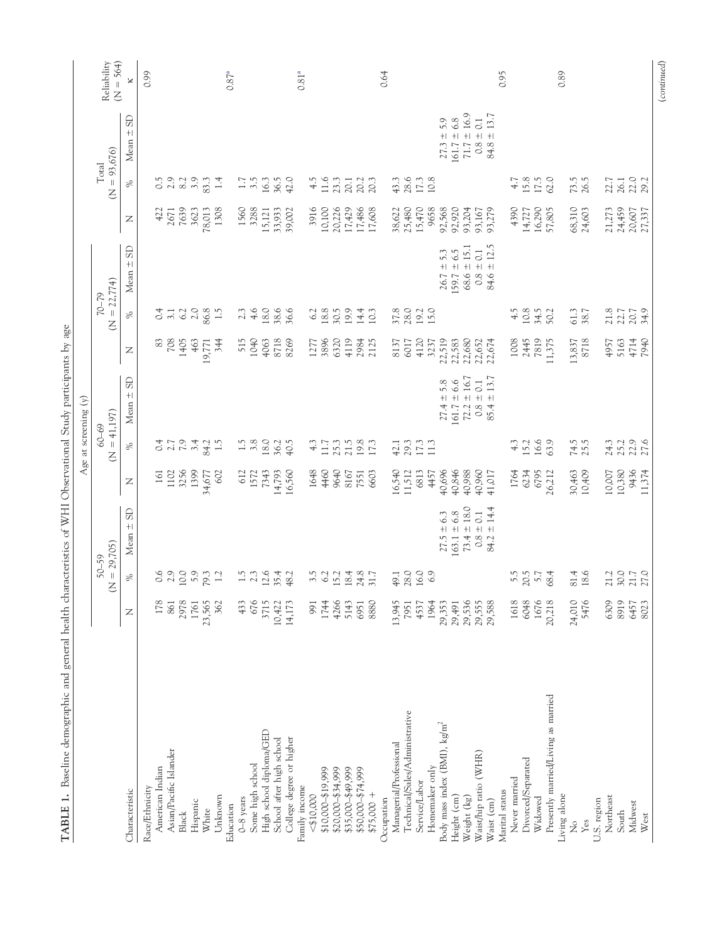<span id="page-2-0"></span>

|                                        |        |                                       |                   |                  | Age at screening $(y)$            |                         |                |                                           |                               |              |                         |                              |                            |
|----------------------------------------|--------|---------------------------------------|-------------------|------------------|-----------------------------------|-------------------------|----------------|-------------------------------------------|-------------------------------|--------------|-------------------------|------------------------------|----------------------------|
|                                        |        | $= 29,705$<br>50-59<br>$\overline{Z}$ |                   |                  | $= 41,197$<br>$60 - 69$<br>$\leq$ |                         |                | $= 22,774$<br>$62 - 22$<br>$\overline{z}$ |                               |              | $(N = 93,676)$<br>Total |                              | Reliability<br>$(N = 564)$ |
| Characteristic                         | z      | ℅                                     | $\pm$ SD<br>Mean: | $\mathsf{Z}$     | $\gg$                             | <b>GS</b><br>Mean $\pm$ | $\overline{z}$ | $\%$                                      | <b>G</b><br>$\bf + $<br>Mean: | $\mathsf{Z}$ | $\%$                    | <b>G</b><br>$\bf + $<br>Mean | $\times$                   |
| Race/Ethnicity                         |        |                                       |                   |                  |                                   |                         |                |                                           |                               |              |                         |                              | 0.99                       |
| American Indian                        | 178    | $0.6$<br>2.9                          |                   | 161              |                                   |                         | 83             | 0.4                                       |                               | 422          | $\overline{0.5}$        |                              |                            |
| Asian/Pacific Islander                 | 861    |                                       |                   | 1102             | $0.4$<br>2.7                      |                         | 708            | $\overline{3}$ .1                         |                               | 2671         | 2.9                     |                              |                            |
| <b>Black</b>                           | 2978   | 10.0                                  |                   | 3256             | $\sim$                            |                         | 1405           | 6.2                                       |                               | 7639         | 8.2                     |                              |                            |
| Hispanic                               | 1761   | 5.9                                   |                   | 1399             | 3.4                               |                         | 463            | 2.0                                       |                               | 3623         | 3.9                     |                              |                            |
| White                                  | 23,565 | 79.3                                  |                   | 34,677           | 84.2                              |                         | 19,771         | 86.8                                      |                               | 78,013       | 83.3                    |                              |                            |
| Unknown                                | 362    | 1.2                                   |                   | 602              | 1.5                               |                         | 344            | 1.5                                       |                               | 1308         | 1.4                     |                              |                            |
| Education                              |        |                                       |                   |                  |                                   |                         |                |                                           |                               |              |                         |                              | 0.87 <sup>a</sup>          |
| $0 - 8$ years                          | 433    | $1.\overline{5}$                      |                   | 612              |                                   |                         | 515            | 2.3                                       |                               | 1560         | 1.7                     |                              |                            |
| Some high school                       | 676    | 2.3                                   |                   | 1572             | $1.5$<br>3.8                      |                         | 1040           | 4.6                                       |                               | 3288         | 3.5                     |                              |                            |
| High school diploma/GED                | 3715   | 12.6                                  |                   | 7343             | 18.0                              |                         | 4063           | 18.0                                      |                               | 15,121       | 16.3                    |                              |                            |
| School after high school               | 10,422 | 35.4                                  |                   |                  | 36.2                              |                         | 8718           |                                           |                               | 33,933       | 36.5                    |                              |                            |
| College degree or higher               | 14,173 | 48.2                                  |                   | 14,793<br>16,560 | 40.5                              |                         | 8269           | 38.6                                      |                               | 39,002       | 42.0                    |                              |                            |
| Family income                          |        |                                       |                   |                  |                                   |                         |                |                                           |                               |              |                         |                              | $0.81^{a}$                 |
| < \$10,000                             | 991    | 3.5                                   |                   | 1648             | 4.3                               |                         | 1277<br>3896   |                                           |                               | 3916         | 4.5                     |                              |                            |
| \$10,000-\$19,999                      | 1744   | 6.2                                   |                   | 4460             | 11.7                              |                         |                | $6.2$<br>$18.8$                           |                               | 10,100       | 11.6                    |                              |                            |
| \$20,000-\$34,999                      | 4266   | 15.2                                  |                   | 9640             |                                   |                         | 6320           | 30.5                                      |                               | 20,226       | 23.3                    |                              |                            |
| \$35,000-\$49,999                      | 5143   | 18.4                                  |                   | 8167             |                                   |                         | 4119           | 19.9                                      |                               | 17,429       | 20.1                    |                              |                            |
| \$50,000-\$74,999                      | 6951   | 24.8                                  |                   | 7551             | 25.3<br>21.5<br>19.8              |                         | 2984           | 14.4                                      |                               | 17,486       | 20.2                    |                              |                            |
| $$75,000 +$                            | 8880   | 31.7                                  |                   | 6603             | 17.3                              |                         | 2125           | 10.3                                      |                               | 17,608       | 20.3                    |                              |                            |
| Occupation                             |        |                                       |                   |                  |                                   |                         |                |                                           |                               |              |                         |                              | 0.64                       |
| Managerial/Professional                | 13,945 | 49.1                                  |                   | 16,540           | 42.1                              |                         | 8137           | 37.8                                      |                               | 38,622       | 43.3                    |                              |                            |
| Technical/Sales/Administrative         | 7951   | 28.0                                  |                   | 11,512           | 29.3                              |                         | 6017           | 28.0                                      |                               | 25,480       | 28.6                    |                              |                            |
| Service/Labor                          | 4537   | 16.0                                  |                   | 6813             | 17.3                              |                         | 4120           | 19.2                                      |                               | 15,470       | 17.3                    |                              |                            |
| Homemaker only                         | 1964   | 6.9                                   |                   | 4457             | 11.3                              |                         | 3237           | 15.0                                      |                               | 9658         | 10.8                    |                              |                            |
| Body mass index (BMI), $\text{kg/m}^2$ | 29,353 |                                       | $27.5 \pm 6.3$    | 40,696<br>40,846 |                                   | 5.8<br>$27.4 \pm$       | 22,519         |                                           | $26.7 \pm 5.3$                | 92,568       |                         | $27.3 \pm 5.9$               |                            |
| Height (cm)                            | 29,491 |                                       | $163.1 \pm 6.8$   |                  |                                   | 6.6<br>$161.7 \pm$      | 22,583         |                                           | $159.7 \pm 6.5$               | 92,920       |                         | $161.7 \pm 6.8$              |                            |
| Weight (kg)                            | 29,536 |                                       | $73.4 \pm 18.0$   | 40,988           |                                   | $72.2 \pm 16.7$         | 22,680         |                                           | $68.6 \pm 15.1$               | 93,204       |                         | $71.7 \pm 16.9$              |                            |
| Waist/hip ratio (WHR)                  | 29,555 |                                       | $0.8\pm0.1$       | 40,960           |                                   | $\pm$ 0.1<br>0.8        | 22,652         |                                           | $0.8\pm0.1$                   | 93,167       |                         | $0.8\pm0.1$                  |                            |
| Waist (cm)                             | 29,588 |                                       | ±14.4<br>84.2     | 41,017           |                                   | $\pm$ 13.7<br>85.4      | 22,674         |                                           | ± 12.5<br>84.6 :              | 93,279       |                         | ± 13.7<br>84.8               |                            |
| Marital status                         |        |                                       |                   |                  |                                   |                         |                |                                           |                               |              |                         |                              | 0.95                       |
| Never married                          | 1618   | 5.5                                   |                   | 1764             | $4.\overline{3}$                  |                         | 1008           | $-4.5$                                    |                               | 4390         | 4.7                     |                              |                            |
| Divorced/Separated                     | 6048   | 20.5                                  |                   | 6234             | 15.2                              |                         | 2445           | 10.8                                      |                               | 14,727       | 15.8                    |                              |                            |
| Widowed                                | 1676   | 5.7                                   |                   | 6795             | 16.6                              |                         | 7819           | 34.5                                      |                               | 16,290       | 17.5                    |                              |                            |
| Presently married/Living as married    | 20,218 | 68.4                                  |                   | 26,212           | 63.9                              |                         | 11,375         | 50.2                                      |                               | 57,805       | 62.0                    |                              |                            |
| Living alone                           |        |                                       |                   |                  |                                   |                         |                |                                           |                               |              |                         |                              | 0.89                       |
| $\mathcal{L}^{\circ}$                  | 24,010 | 81.4                                  |                   | 30,463           | 74.5<br>25.5                      |                         | 13,837         | 61.3                                      |                               | 68,310       | 73.5                    |                              |                            |
| Yes                                    | 5476   | 18.6                                  |                   | 10,409           |                                   |                         | 8718           | 38.7                                      |                               | 24,603       | 26.5                    |                              |                            |
| U.S. region                            |        |                                       |                   |                  |                                   |                         |                |                                           |                               |              |                         |                              |                            |
| Northeast                              | 6309   | 21.2                                  |                   | 10,007           | 24.3                              |                         | 4957           | 21.8                                      |                               | 21,273       | 22.7                    |                              |                            |
| South                                  | 8919   | 30.0                                  |                   | 10,380           | 25.2                              |                         | 5163           | 22.7                                      |                               | 24,459       | 26.1                    |                              |                            |
| Midwest                                | 6457   | $21.7\,$                              |                   | 9436             | 22.9                              |                         | 4714           | 20.7                                      |                               | 20,607       | 22.0                    |                              |                            |
| West                                   | 8023   | 27.0                                  |                   | 11,374           |                                   |                         | 7940           | 34.9                                      |                               | 27,337       | 29.2                    |                              |                            |

TABLE 1. Baseline demographic and general health characteristics of WHI Observational Study participants by age **TABLE 1.** Baseline demographic and general health characteristics of WHI Observational Study participants by age

(*continued*)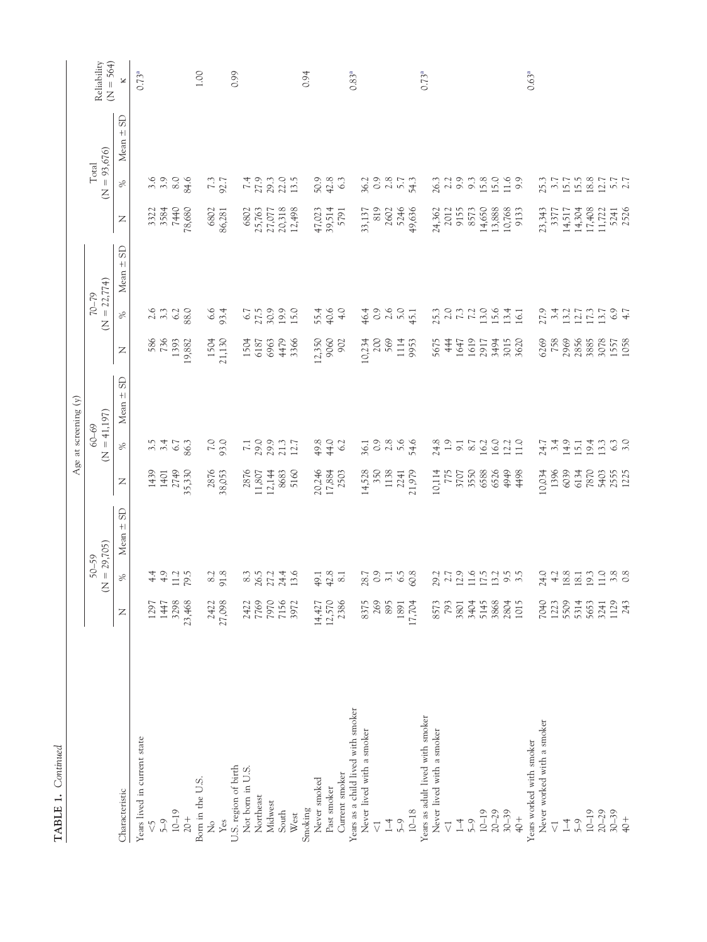|                                    |                |                              |                         |                          |                     | Age at screening (y)               |              |                        |                    |                  |                           |                                    |                   |
|------------------------------------|----------------|------------------------------|-------------------------|--------------------------|---------------------|------------------------------------|--------------|------------------------|--------------------|------------------|---------------------------|------------------------------------|-------------------|
|                                    |                | 50-59                        |                         |                          | $60 - 69$           |                                    |              | $70 - 79$              |                    |                  | Total                     |                                    | Reliability       |
|                                    |                | $= 29,705$<br>Z              |                         |                          | $\overline{z}$      | $= 41,197$                         |              | $\overline{z}$         | $= 22,774$         |                  | $(N = 93,676)$            |                                    | $(N = 564)$       |
| Characteristic                     | Z              | $\%$                         | <b>GS</b><br>Mean $\pm$ | $\mathsf{Z}$             | $\gg$               | <b>GS</b><br>$\bf + \bf  $<br>Mean | Z            | $\%$                   | GS<br>$+1$<br>Mean | $\mathsf{Z}$     | $\%$                      | <b>GS</b><br>$\bf + \bf  $<br>Mean | ×                 |
| Years lived in current state       |                |                              |                         |                          |                     |                                    |              |                        |                    |                  |                           |                                    | 0.73 <sup>a</sup> |
| $\sqrt{2}$                         | 1297           |                              |                         | 1439                     | 3.5                 |                                    | 586          | $2.6$ $3.3$            |                    | 3322             | 3.6                       |                                    |                   |
| $5 - 9$                            | 1447           | 4.9                          |                         | 1401                     | 3.4                 |                                    | 736          |                        |                    | 3584             |                           |                                    |                   |
| $10-19$                            | 3298           | 11.2                         |                         | 2749                     | 6.7                 |                                    | 1393         | 6.2                    |                    | <b>7440</b>      | 8.0                       |                                    |                   |
| $20+$                              | 23,468         | 79.5                         |                         | 35,330                   | 86.3                |                                    | 19,882       | 88.0                   |                    | 78,680           | 84.6                      |                                    |                   |
| Born in the U.S.                   |                |                              |                         |                          |                     |                                    |              |                        |                    |                  |                           |                                    | 1.00              |
| ż                                  |                | $\frac{8.2}{91.8}$           |                         | 2876                     |                     |                                    | 1504         |                        |                    | 6802             |                           |                                    |                   |
| $\mathbf{Yes}$                     | 2422<br>27,098 |                              |                         | 38,053                   | 7.0                 |                                    | 21,130       | $6.6$<br>93.4          |                    | 86,281           | 7.3                       |                                    |                   |
| U.S. region of birth               |                |                              |                         |                          |                     |                                    |              |                        |                    |                  |                           |                                    | 0.99              |
| Not born in U.S.                   |                | $\,8.3$                      |                         |                          |                     |                                    | 1504         | $6.7$                  |                    | 6802             |                           |                                    |                   |
| Northeast                          | 2422<br>7769   | 26.3<br>27.3<br>24.4         |                         | 2876<br>11,807<br>12,144 | 7.1<br>29.9<br>29.9 |                                    | 6187         | 27.5                   |                    | 25,763<br>27,077 | 7.9                       |                                    |                   |
| Midwest                            | 7970           |                              |                         |                          |                     |                                    | 6963         |                        |                    |                  | 29.3                      |                                    |                   |
| South                              | 7156           |                              |                         | 8683                     | 21.3                |                                    | 4479         | 19.9<br>15.0           |                    | 20,318           | 22.0                      |                                    |                   |
| West                               | 3972           | 13.6                         |                         | 5160                     | 12.7                |                                    | 3366         |                        |                    | 12,498           | 13.5                      |                                    |                   |
| Smoking                            |                |                              |                         |                          |                     |                                    |              |                        |                    |                  |                           |                                    | 0.94              |
| Never smoked                       | 14,427         | 49.1                         |                         |                          |                     |                                    | 12,350       |                        |                    |                  |                           |                                    |                   |
| Past smoker                        | 12,570         | 42.8                         |                         | 20,246<br>17,884         | 44.0                |                                    | 9060         | 55.4<br>40.6           |                    | 47,023<br>39,514 | 50.9<br>42.8              |                                    |                   |
| Current smoker                     | 2386           | $8.1\,$                      |                         | 2503                     | 6.2                 |                                    | 902          | 4.0                    |                    | 5791             | 63                        |                                    |                   |
| Years as a child lived with smoker |                |                              |                         |                          |                     |                                    |              |                        |                    |                  |                           |                                    | 0.83 <sup>a</sup> |
| Never lived with a smoker          | 8375           |                              |                         |                          | 36.1                |                                    | 10,234       |                        |                    | 33,137           |                           |                                    |                   |
| $\overline{\vee}$                  | 269            | $28.7$<br>0.9<br>3.1         |                         | 14,528                   | $\circ$             |                                    | $200\,$      |                        |                    | 819              | 36.2<br>0.9               |                                    |                   |
| $\overline{1}$                     | 895            |                              |                         | 1138                     | 2.8                 |                                    | 569          |                        |                    | 2602             | $2.8\,$                   |                                    |                   |
| $5-9$                              |                | 6.5                          |                         |                          |                     |                                    |              |                        |                    | 5246             |                           |                                    |                   |
| $10 - 18$                          | 1891<br>17,704 | 60.8                         |                         | 2241<br>21,979           | 54.6                |                                    | 1114<br>9953 | $40.9001$<br>$40.9001$ |                    | 49,636           | 54.3                      |                                    |                   |
| Years as adult lived with smoker   |                |                              |                         |                          |                     |                                    |              |                        |                    |                  |                           |                                    | $0.73^{a}$        |
| Never lived with a smoker          | 8573           |                              |                         | 10,114                   |                     |                                    | 5675         |                        |                    | 24,362           |                           |                                    |                   |
| $\overline{\vee}$                  | 793            | 29.7<br>21.7<br>11.1<br>11.6 |                         | $775$                    | $24.8$<br>1.9       |                                    | 444          | 253<br>253<br>25       |                    | 2012             | $26.3$<br>$2.2$<br>$9.9$  |                                    |                   |
| $1 - 4$                            | 3801           |                              |                         | 3707                     | $\overline{9}$ .    |                                    | 1647         |                        |                    | 9155             |                           |                                    |                   |
| $5-9$                              | 3404           |                              |                         | 3550                     | 8.7                 |                                    | 1619         |                        |                    | 8573             | 9.3                       |                                    |                   |
| $10-19$                            | 5145           | 17.5                         |                         | 6588                     | 16.2                |                                    | 2917         |                        |                    |                  |                           |                                    |                   |
| $20 - 29$                          | 3868           | 13.2                         |                         | 6526                     | 16.0                |                                    | 3494         | $13.0$<br>$15.4$       |                    | 14,650<br>13,888 | 15.8                      |                                    |                   |
| $30 - 39$                          | 2804           | $9.5$<br>3.5                 |                         | 4949                     | 12.2                |                                    | 3015         |                        |                    | 10,768           | 11.6                      |                                    |                   |
| $rac{+}{4}$                        | 1015           |                              |                         | 4498                     | $\frac{10}{2}$      |                                    | 3620         | 16.1                   |                    | 9133             | 9.9                       |                                    |                   |
| Years worked with smoker           |                |                              |                         |                          |                     |                                    |              |                        |                    |                  |                           |                                    | $0.63^{a}$        |
| Never worked with a smoker         | 7040           | 24.0                         |                         | 10,034                   | 24.7                |                                    | 6269<br>758  |                        |                    | 23,343           | 25.3                      |                                    |                   |
| $\overline{\vee}$                  | 1223           | 4.2                          |                         | 1396                     | 3.4                 |                                    |              |                        |                    | 3377             |                           |                                    |                   |
| $\overline{1}$                     | 5509           | 18.8                         |                         | 6039                     | 14.9                |                                    | 2969         |                        |                    |                  |                           |                                    |                   |
| $5-9$                              | 5314           | 18.1                         |                         | 6134                     | 15.1                |                                    | 2856         |                        |                    | 14,517<br>14,304 | $3.7$<br>$15.7$<br>$15.5$ |                                    |                   |
| $10-19$                            | 5653           | 19.3                         |                         | 7870                     | 19.4                |                                    | 3885         | 2733<br>23325325       |                    | 17,408           | 18.8                      |                                    |                   |
| $20 - 29$                          | 3241           | 11.0                         |                         | 5403                     | 13.3                |                                    | 3078         |                        |                    | 11,722           |                           |                                    |                   |
| $30 - 39$                          | 1129           |                              |                         | 2555                     | 6.3                 |                                    |              |                        |                    |                  |                           |                                    |                   |
| $+0+$                              | 243            | $3.\overline{8}$             |                         | 1225                     | 3.0                 |                                    | 1557<br>1058 | $6.9 + 7$              |                    | 5241<br>2526     | $5.7$<br>2.7              |                                    |                   |

TABLE 1. Continued **TABLE 1.** *Continued*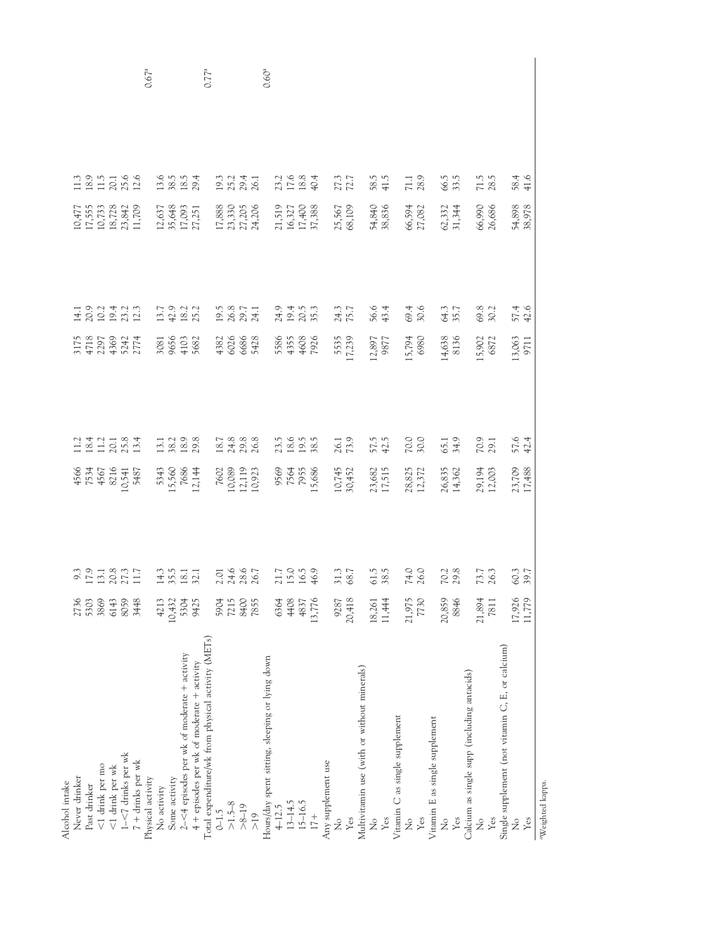| Alcohol intake                                     |              |                                     |                                                 |                                       |                                                             |                                |                                                                                                   |                                      |                   |
|----------------------------------------------------|--------------|-------------------------------------|-------------------------------------------------|---------------------------------------|-------------------------------------------------------------|--------------------------------|---------------------------------------------------------------------------------------------------|--------------------------------------|-------------------|
| Never drinker                                      | 2736         |                                     |                                                 |                                       |                                                             |                                |                                                                                                   |                                      |                   |
| Past drinker                                       | 5303         |                                     |                                                 |                                       |                                                             |                                |                                                                                                   |                                      |                   |
|                                                    |              |                                     |                                                 |                                       |                                                             |                                |                                                                                                   |                                      |                   |
| $<1$ drink per mo                                  | 3869         |                                     |                                                 |                                       |                                                             |                                |                                                                                                   |                                      |                   |
| $<$ 1 drink per wk                                 | 6143         |                                     |                                                 |                                       |                                                             |                                |                                                                                                   |                                      |                   |
| $1 - < 7$ drinks per wk                            | 8059         |                                     |                                                 |                                       |                                                             |                                |                                                                                                   |                                      |                   |
| $7 +$ drinks per wk                                | 3448         | 9.3<br>17.3<br>19.2<br>17.1         | 4566<br>7534<br>4567<br>4874<br>10,5487<br>5487 | $113.4$<br>$13.7$<br>$13.8$<br>$13.4$ | 3175<br>4718<br>47296<br>4369<br>5774<br>2774               | $14.0$<br>2021<br>2021<br>2021 | $\begin{array}{l} 10,477 \\ 17,555 \\ 10,733 \\ 18,728 \\ 18,728 \\ 23,842 \\ 11,709 \end{array}$ | 13911366<br>1311366                  |                   |
| Physical activity                                  |              |                                     |                                                 |                                       |                                                             |                                |                                                                                                   |                                      | 0.67 <sup>a</sup> |
|                                                    | 4213         |                                     |                                                 |                                       |                                                             |                                |                                                                                                   |                                      |                   |
| No activity                                        |              |                                     |                                                 |                                       |                                                             |                                |                                                                                                   |                                      |                   |
| Some activity                                      | 10,432       |                                     |                                                 |                                       |                                                             |                                |                                                                                                   |                                      |                   |
| 2-<4 episodes per wk of moderate + activity        | 5304         | $14.3$<br>$5.5$<br>$18.1$<br>$32.1$ | 5343<br>15,560<br>12,144                        | 13.1<br>38.2<br>18.9                  | 3081<br>9656<br>4103<br>5682                                | 13.7<br>12.2<br>13.2           | $\begin{array}{c} 12,637 \\ 35,648 \\ 17,093 \\ 27,251 \end{array}$                               | $13.5$<br>$13.5$<br>$13.5$<br>$29.4$ |                   |
| 4 + episodes per wk of moderate + activity         | 9425         |                                     |                                                 |                                       |                                                             |                                |                                                                                                   |                                      |                   |
| Total expenditure/wk from physical activity (METs) |              |                                     |                                                 |                                       |                                                             |                                |                                                                                                   |                                      | $0.77^{a}$        |
| $0 - 1.5$                                          | 5904         |                                     |                                                 |                                       |                                                             |                                |                                                                                                   |                                      |                   |
| $>1.5-8$                                           | 7215         |                                     |                                                 |                                       |                                                             |                                |                                                                                                   |                                      |                   |
|                                                    |              |                                     |                                                 |                                       |                                                             |                                |                                                                                                   |                                      |                   |
| $>8 - 19$                                          | 8400<br>7855 | 2.01<br>24.6<br>28.67               | 7602<br>10,089<br>12,119<br>10,923              | $18.7$<br>$24.8$<br>$26.8$            | $\begin{array}{c} 4382 \\ 6026 \\ 6686 \\ 5428 \end{array}$ | 19.5<br>26.8<br>29.7<br>24.1   | 17,888<br>23,330<br>27,205<br>24,206                                                              | 19.1<br>20.1<br>20.1<br>20.1         |                   |
| >19                                                |              |                                     |                                                 |                                       |                                                             |                                |                                                                                                   |                                      |                   |
| Hours/day spent sitting, sleeping or lying down    |              |                                     |                                                 |                                       |                                                             |                                |                                                                                                   |                                      | 0.60 <sup>a</sup> |
| $4 - 12.5$                                         | 6364         |                                     |                                                 |                                       |                                                             |                                |                                                                                                   |                                      |                   |
| $13 - 14.5$                                        | 4408         | 21.7<br>15.0<br>16.5<br>16.9        | 9569<br>7564<br>15,686                          | 23.5<br>18.5<br>38.5                  | 5586<br>4355<br>4008<br>7926                                | 245<br>2053<br>2053            | 21,519<br>16,327<br>17,400<br>37,388                                                              | $21.68$<br>$12.84$                   |                   |
| 15-16.5                                            |              |                                     |                                                 |                                       |                                                             |                                |                                                                                                   |                                      |                   |
|                                                    | 4837         |                                     |                                                 |                                       |                                                             |                                |                                                                                                   |                                      |                   |
| $17+$                                              | 13,776       |                                     |                                                 |                                       |                                                             |                                |                                                                                                   |                                      |                   |
| Any supplement use                                 |              |                                     |                                                 |                                       |                                                             |                                |                                                                                                   |                                      |                   |
| $\mathcal{\overset{\circ}{z}}$                     | 9287         |                                     |                                                 |                                       |                                                             |                                |                                                                                                   |                                      |                   |
| Yes                                                | 20,418       | 31.3                                | 10,7452<br>30,452                               | 26.1                                  | 5535                                                        | 24.3                           | 25,567<br>68,109                                                                                  | 27.3                                 |                   |
| Multivitamin use (with or without minerals)        |              |                                     |                                                 |                                       |                                                             |                                |                                                                                                   |                                      |                   |
|                                                    |              |                                     |                                                 |                                       |                                                             |                                |                                                                                                   |                                      |                   |
| $\frac{1}{2}$                                      | 18,261       | 51.5<br>38.5                        | 23,682<br>17,515                                | 57.5<br>42.5                          | 12,897<br>9877                                              | 56.6<br>43.4                   | 54,840<br>38,836                                                                                  | 58.5<br>41.5                         |                   |
| Yes                                                | 11,444       |                                     |                                                 |                                       |                                                             |                                |                                                                                                   |                                      |                   |
| Vitamin C as single supplement                     |              |                                     |                                                 |                                       |                                                             |                                |                                                                                                   |                                      |                   |
| $\frac{1}{2}$                                      | 21,975       |                                     |                                                 |                                       |                                                             |                                |                                                                                                   |                                      |                   |
| Yes                                                | 7730         | 74.0                                | 28,825<br>12,372                                | 70.0                                  | 15,794<br>6980                                              | 69.4<br>30.6                   | 66,594<br>27,082                                                                                  | 71.1<br>28.9                         |                   |
| Vitamin E as single supplement                     |              |                                     |                                                 |                                       |                                                             |                                |                                                                                                   |                                      |                   |
| $\mathop{z}\limits^{\circ}$                        | 20,859       |                                     |                                                 |                                       |                                                             |                                |                                                                                                   |                                      |                   |
| Yes                                                | 8846         | 70.2<br>29.8                        | 26,835<br>14,362                                | 65.1<br>34.9                          | 14,638<br>8136                                              | 64.3                           | $62,332$<br>31,344                                                                                | 66.5<br>33.5                         |                   |
|                                                    |              |                                     |                                                 |                                       |                                                             |                                |                                                                                                   |                                      |                   |
| Calcium as single supp (including antacids)        |              |                                     |                                                 |                                       |                                                             |                                |                                                                                                   |                                      |                   |
| $\frac{1}{2}$                                      | 21,894       |                                     |                                                 |                                       |                                                             |                                |                                                                                                   |                                      |                   |
| Yes                                                | 7811         | 73.7                                | 29,194<br>12,003                                | $70.9$<br>$29.1$                      | 15,902<br>6872                                              | 69.8<br>30.2                   | 66,990<br>26,686                                                                                  | $71.5$<br>28.5                       |                   |
| Single supplement (not vitamin C, E, or calcium)   |              |                                     |                                                 |                                       |                                                             |                                |                                                                                                   |                                      |                   |
| $\frac{1}{2}$                                      | 17,926       |                                     | 23,709<br>17,488                                |                                       |                                                             |                                | 54,898<br>38,978                                                                                  |                                      |                   |
|                                                    |              | 50.3                                |                                                 | 57.6<br>42.4                          | 13,063<br>9711                                              | 57.4<br>42.6                   |                                                                                                   | 58.4<br>41.6                         |                   |
| Yes                                                | 11,779       |                                     |                                                 |                                       |                                                             |                                |                                                                                                   |                                      |                   |
| <sup>a</sup> Weighted kappa.                       |              |                                     |                                                 |                                       |                                                             |                                |                                                                                                   |                                      |                   |
|                                                    |              |                                     |                                                 |                                       |                                                             |                                |                                                                                                   |                                      |                   |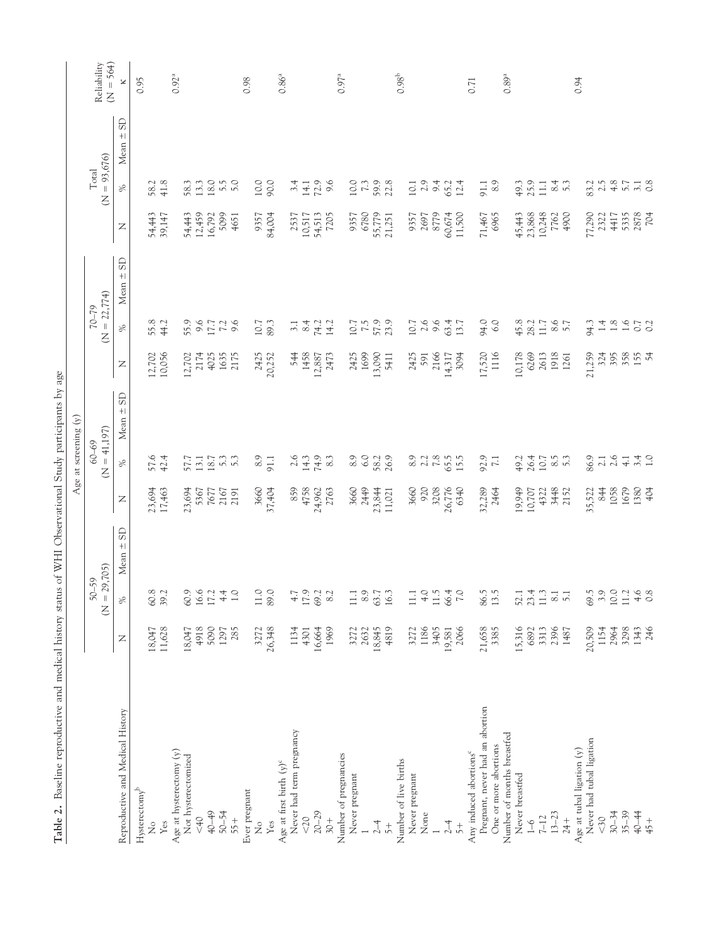<span id="page-5-0"></span>

| $\frac{1}{2}$                      | <b>ATASCET</b> | on ma                       |                            |                      |                                                      | way participan<br>Age at screening (y) | ý                |                                     |                              |                  |                                   |                            |
|------------------------------------|----------------|-----------------------------|----------------------------|----------------------|------------------------------------------------------|----------------------------------------|------------------|-------------------------------------|------------------------------|------------------|-----------------------------------|----------------------------|
|                                    |                | $(N = 29,705)$<br>$50 - 59$ |                            |                      | $60 - 69$<br>Z                                       | $= 41,197$                             |                  | $= 22,774$<br>$70 - 79$<br>Z        |                              |                  | $(N = 93,676)$<br>Total           | $(N = 564)$<br>Reliability |
| Reproductive and Medical History   | $\mathbb Z$    | %                           | <b>GS</b><br>$+1$<br>Mean: | $\mathbb{Z}$         | %                                                    | $\Omega$<br>$+$<br>Mean                | $\mathbb{Z}$     | $\%$                                | <b>GS</b><br>$\bf +$<br>Mean | $\mathbb{Z}$     | $+$<br>Mean<br>$\%$               | $\approx$<br><b>GS</b>     |
| $H$ ysterectomy <sup>b</sup>       |                |                             |                            |                      |                                                      |                                        |                  |                                     |                              |                  |                                   | 0.95                       |
| $\frac{1}{2}$                      | 18,047         | 60.8                        |                            | 23,694               | 57.6<br>42.4                                         |                                        | 12,702           | 55.8                                |                              | 54,443           | 58.2                              |                            |
| Yes                                | 11,628         | 39.2                        |                            | 17,463               |                                                      |                                        | 10,056           | 44.2                                |                              | 39,147           | 41.8                              |                            |
| Age at hysterectomy $(y)$          |                |                             |                            |                      |                                                      |                                        |                  |                                     |                              |                  |                                   | 0.92 <sup>a</sup>          |
| Not hysterectomized                | 18,047         | 60.9                        |                            | 23,694               |                                                      |                                        | 12,702           | 55.9                                |                              | 54,443           | 58.3                              |                            |
| < 40                               | 4918           | 16.6                        |                            | 5367                 |                                                      |                                        | 2174             |                                     |                              | 12,459           | 13.3                              |                            |
| 40-49                              | 5090           | 17.2                        |                            | 7677                 |                                                      |                                        | 4025             |                                     |                              | 16,792           | 18.0                              |                            |
| $50 - 54$                          | 1297           | $4.4$                       |                            | 2167                 |                                                      |                                        | 1635             |                                     |                              | 5099             | 5.5                               |                            |
| 55+                                | 285            | $1.0\,$                     |                            | 2191                 | $57.7$<br>$13.7$<br>$0.7$<br>$0.7$<br>$0.7$<br>$0.7$ |                                        | 2175             | 9.773.6                             |                              | 4651             | 5.0                               |                            |
| Ever pregnant                      |                |                             |                            |                      |                                                      |                                        |                  |                                     |                              |                  |                                   | 0.98                       |
| $\stackrel{\circ}{\mathbf{Z}}$     | 3272           | $11.0$                      |                            | 3660                 | $8.9\,$                                              |                                        | 2425             |                                     |                              | 9357             |                                   |                            |
| Yes                                | 26,348         | 89.0                        |                            | 37,404               | 91.1                                                 |                                        | 20,252           | $10.7$<br>89.3                      |                              | 84,004           | 10.0                              |                            |
| Age at first birth $(y)^c$         |                |                             |                            |                      |                                                      |                                        |                  |                                     |                              |                  |                                   | $0.86^{a}$                 |
| Never had term pregnancy           | 1134           | 4.7                         |                            | 859                  |                                                      |                                        | 544              | 3.1                                 |                              | 2537             |                                   |                            |
| $<20$                              | 4301           | 17.9                        |                            | 4758                 | $2.6$<br>14.3                                        |                                        | 1458             | 8.4                                 |                              |                  | $3.4$<br>14.1                     |                            |
| $20 - 29$                          | 16,664         | 69.2                        |                            | 24,962               |                                                      |                                        | 12,887           |                                     |                              | 10,517<br>54,513 |                                   |                            |
| $30 +$                             | 1969           | 8.2                         |                            | 2763                 | $74.9$<br>8.3                                        |                                        | 2473             | 74.2<br>14.2                        |                              | 7205             | $72.9$<br>9.6                     |                            |
| Number of pregnancies              |                |                             |                            |                      |                                                      |                                        |                  |                                     |                              |                  |                                   | 0.97 <sup>a</sup>          |
|                                    |                |                             |                            |                      |                                                      |                                        |                  |                                     |                              | 9357             |                                   |                            |
| Never pregnant                     | 3272           | 11.1                        |                            | 3660                 | $\begin{array}{c} 0.9 \\ 6.0 \end{array}$            |                                        | 2425             |                                     |                              |                  |                                   |                            |
|                                    | 2632           | 8.9                         |                            | 2449                 |                                                      |                                        | 1699             |                                     |                              | 6780             |                                   |                            |
| $2-4$                              | 18,845         | 63.7                        |                            | 23,844<br>11,021     | 58.2                                                 |                                        | 13,090           | $10.7$<br>$7.5$<br>$57.9$<br>$23.9$ |                              | 55,779<br>21,251 | 10.0<br>7.3<br>59.2.8             |                            |
| $\frac{+}{5}$                      | 4819           | 16.3                        |                            |                      | 26.9                                                 |                                        | 5411             |                                     |                              |                  |                                   |                            |
| Number of live births              |                |                             |                            |                      |                                                      |                                        |                  |                                     |                              |                  |                                   | $0.98^{\rm b}$             |
| Never pregnant                     | 3272           | 111                         |                            | 3660                 | $8.9$<br>$2.2$                                       |                                        | 2425             | $10.7$<br>$2.6$<br>$9.6$            |                              | 9357             |                                   |                            |
| None                               | 1186           | 4.0                         |                            | 920                  |                                                      |                                        | 591              |                                     |                              | 2697             |                                   |                            |
|                                    | 3405           | 11.5                        |                            | 3208                 | $7.8\,$                                              |                                        | 2166             |                                     |                              | 8779             | $10.1$<br>$2.9$<br>$5.4$<br>$5.2$ |                            |
| $2-4$                              | 19,581         | 66.4                        |                            | 26,776               | 65.5                                                 |                                        | 14,317           |                                     |                              | 60,674           |                                   |                            |
| $\frac{+}{5}$                      | 2066           | 7.0                         |                            | 6340                 |                                                      |                                        | 3094             | 63.4                                |                              | 11,500           | 12.4                              |                            |
| Any induced abortions <sup>c</sup> |                |                             |                            |                      |                                                      |                                        |                  |                                     |                              |                  |                                   | 0.71                       |
| Pregnant, never had an abortion    | 21,658         | 86.5                        |                            | 32,289               | 92.9                                                 |                                        | 17,520           | 94.0                                |                              | 71,467           | 91.1                              |                            |
| One or more abortions              | 3385           | 13.5                        |                            | 2464                 | $\overline{7.1}$                                     |                                        | 1116             | 6.0                                 |                              | 6965             | 8.9                               |                            |
| Number of months breastfed         |                |                             |                            |                      |                                                      |                                        |                  |                                     |                              |                  |                                   | $0.89^{\rm a}$             |
| Never breastfed                    | 15,316         | 52.1                        |                            |                      | 49.2                                                 |                                        | 10,178           | 45.8                                |                              |                  | 49.3                              |                            |
| $1 - 6$                            | 6892           | 23.4                        |                            | 19,949<br>10,707     | 26.4                                                 |                                        | 6269             | 28.2                                |                              | 45,443<br>23,868 | 25.9                              |                            |
| $7 - 12$                           | 3313           | $11.3$                      |                            | 4322                 |                                                      |                                        | 2613             | $11.7$                              |                              | 10,248           | $\Xi$                             |                            |
| $13 - 23$                          | 2396           |                             |                            |                      |                                                      |                                        | 1918             |                                     |                              | 7762             |                                   |                            |
| $24 +$                             | 1487           | $\frac{8.1}{5.1}$           |                            | 3448<br>2152         | $\frac{6}{5}$ .3                                     |                                        | 1261             | $8.6$<br>5.7                        |                              | 4900             | 8.3                               |                            |
| Age at tubal ligation (y)          |                |                             |                            |                      |                                                      |                                        |                  |                                     |                              |                  |                                   | 0.94                       |
| Never had tubal ligation           | 20,509         | 69.5                        |                            |                      | 86.9                                                 |                                        | 21,259           | 94.3                                |                              | 77,290           | 83.2                              |                            |
| $30$                               | 1154           | 3.9                         |                            | 35,522<br>844        |                                                      |                                        | 324              | $\overline{14}$                     |                              | 2322             | 2.5                               |                            |
| $30 - 34$                          | 2964           | 10.0                        |                            |                      | $\begin{array}{c} 2.1 \\ 2.6 \\ 4.1 \end{array}$     |                                        | 395              |                                     |                              | 4417             | $4.8$                             |                            |
| $35 - 39$                          | 3298           | 11.2                        |                            |                      |                                                      |                                        |                  | $1.8\phantom{0}$ $1.6\phantom{0}$   |                              | 5335             | 5.7                               |                            |
| 40-44                              | 1343           |                             |                            | 1058<br>1679<br>1380 | 3.4                                                  |                                        | 358<br>155<br>54 | 0.7                                 |                              | 2878             | $3.1$<br>$0.8$                    |                            |
| 45+                                | 246            | $4.6$<br>0.8                |                            |                      |                                                      |                                        |                  |                                     |                              | 704              |                                   |                            |

Table 2. Baseline reproductive and medical history status of WHI Observational Study participants by age **Table 2.** Baseline reproductive and medical history status of WHI Observational Study participants by age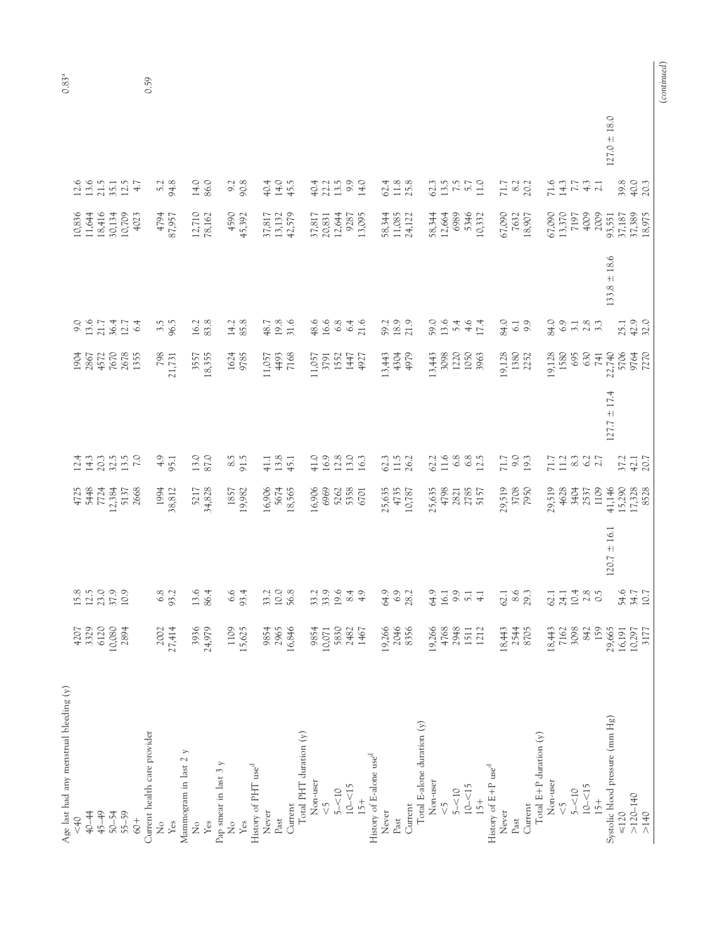| Age last had any menstrual bleeding (y) |        |                                                            |                  |                                                |                                                                                                                                                                                                                                                                                                                                                   |                 |                                                                         |                                                                                  |                  |                                                         |                                      |                  | $0.83^{a}$ |
|-----------------------------------------|--------|------------------------------------------------------------|------------------|------------------------------------------------|---------------------------------------------------------------------------------------------------------------------------------------------------------------------------------------------------------------------------------------------------------------------------------------------------------------------------------------------------|-----------------|-------------------------------------------------------------------------|----------------------------------------------------------------------------------|------------------|---------------------------------------------------------|--------------------------------------|------------------|------------|
| &0                                      | 4207   |                                                            |                  |                                                |                                                                                                                                                                                                                                                                                                                                                   |                 | 1904                                                                    |                                                                                  |                  |                                                         |                                      |                  |            |
| 40-44                                   | 3329   |                                                            |                  |                                                |                                                                                                                                                                                                                                                                                                                                                   |                 |                                                                         |                                                                                  |                  |                                                         |                                      |                  |            |
| $45 - 49$                               | 6120   | 15.8<br>12.3<br>10.9<br>10.9                               |                  |                                                |                                                                                                                                                                                                                                                                                                                                                   |                 |                                                                         |                                                                                  |                  | 10,836<br>11,644<br>18,416<br>10,709<br>10,709          | 12.6<br>13.5<br>12.5<br>12.5         |                  |            |
| $50 - 54$                               | 10,080 |                                                            |                  |                                                |                                                                                                                                                                                                                                                                                                                                                   |                 |                                                                         |                                                                                  |                  |                                                         |                                      |                  |            |
| 55-59                                   | 2894   |                                                            |                  |                                                |                                                                                                                                                                                                                                                                                                                                                   |                 |                                                                         |                                                                                  |                  |                                                         |                                      |                  |            |
| $60+$                                   |        |                                                            |                  | 4725<br>5448<br>7724<br>12,384<br>5137<br>5137 | $\begin{array}{c}\n 14.7 \\  24.7 \\  34.7 \\  45.7 \\  56.7 \\  67.7 \\  76.7 \\  76.7 \\  76.7 \\  76.7 \\  76.7 \\  76.7 \\  76.7 \\  76.7 \\  76.7 \\  76.7 \\  76.7 \\  76.7 \\  76.7 \\  76.7 \\  76.7 \\  76.7 \\  76.7 \\  76.7 \\  76.7 \\  76.7 \\  76.7 \\  76.7 \\  76.7 \\  76.7 \\  76.7 \\  76.7 \\  76.7 \\  76.7 \\  76.7 \\  7$ |                 | 2867<br>4572<br>7678<br>1355<br>1355                                    | 9.0<br>13.0<br>13.0<br>12.1<br>6.4                                               |                  | 4023                                                    | 4.7                                  |                  |            |
| Current health care provider            |        |                                                            |                  |                                                |                                                                                                                                                                                                                                                                                                                                                   |                 |                                                                         |                                                                                  |                  |                                                         |                                      |                  | 0.59       |
| $\frac{1}{2}$                           | 2002   |                                                            |                  |                                                |                                                                                                                                                                                                                                                                                                                                                   |                 |                                                                         |                                                                                  |                  |                                                         |                                      |                  |            |
| Yes                                     | 27,414 | 6.8<br>93.2                                                |                  | 1994<br>38,812                                 | $4.9$<br>95.1                                                                                                                                                                                                                                                                                                                                     |                 | 798<br>21,731                                                           | $3.5$<br>96.5                                                                    |                  | 4794<br>87,957                                          | 5.2<br>94.8                          |                  |            |
| $\triangleright$<br>Mammogram in last 2 |        |                                                            |                  |                                                |                                                                                                                                                                                                                                                                                                                                                   |                 |                                                                         |                                                                                  |                  |                                                         |                                      |                  |            |
| $\mathcal{\overset{\circ}{z}}$          | 3936   |                                                            |                  |                                                |                                                                                                                                                                                                                                                                                                                                                   |                 |                                                                         |                                                                                  |                  |                                                         |                                      |                  |            |
| Yes                                     | 24,979 | 13.6<br>86.4                                               |                  | 5217<br>34,828                                 | 13.0<br>87.0                                                                                                                                                                                                                                                                                                                                      |                 | 3557<br>18,355                                                          | $16.2$<br>83.8                                                                   |                  | $12,710$<br>78,162                                      | 14.0<br>86.0                         |                  |            |
| ⋗<br>Pap smear in last 3                |        |                                                            |                  |                                                |                                                                                                                                                                                                                                                                                                                                                   |                 |                                                                         |                                                                                  |                  |                                                         |                                      |                  |            |
| $\stackrel{\circ}{\mathbf{Z}}$          | 1109   |                                                            |                  |                                                | $8.5$<br>91.5                                                                                                                                                                                                                                                                                                                                     |                 |                                                                         |                                                                                  |                  | 4590                                                    |                                      |                  |            |
| Yes                                     | 15,625 | $6.6$<br>93.4                                              |                  | 1857<br>19,982                                 |                                                                                                                                                                                                                                                                                                                                                   |                 | 1624<br>9785                                                            | $14.2$<br>85.8                                                                   |                  | 45,392                                                  | 90.8                                 |                  |            |
| History of PHT use <sup>d</sup>         |        |                                                            |                  |                                                |                                                                                                                                                                                                                                                                                                                                                   |                 |                                                                         |                                                                                  |                  |                                                         |                                      |                  |            |
| Never                                   | 9854   |                                                            |                  |                                                |                                                                                                                                                                                                                                                                                                                                                   |                 |                                                                         |                                                                                  |                  |                                                         |                                      |                  |            |
| Past                                    | 2965   | 33.2<br>10.0<br>56.8                                       |                  | 16,906<br>5674<br>18,565                       | $41.1$<br>$13.3$<br>$45.1$                                                                                                                                                                                                                                                                                                                        |                 | 11,057<br>4493<br>7168                                                  | $48.7$<br>$9.8$<br>$31.6$                                                        |                  | 37,817<br>13,132<br>42,579                              | $40.4$<br>$14.0$<br>$45.5$           |                  |            |
| Current                                 | 16,846 |                                                            |                  |                                                |                                                                                                                                                                                                                                                                                                                                                   |                 |                                                                         |                                                                                  |                  |                                                         |                                      |                  |            |
| Total PHT duration (y)                  |        |                                                            |                  |                                                |                                                                                                                                                                                                                                                                                                                                                   |                 |                                                                         |                                                                                  |                  |                                                         |                                      |                  |            |
| Non-user                                | 9854   |                                                            |                  |                                                |                                                                                                                                                                                                                                                                                                                                                   |                 | $\begin{array}{r} 11,057 \\ 3791 \\ 1552 \\ 1447 \\ 147 \\ \end{array}$ |                                                                                  |                  |                                                         |                                      |                  |            |
| $\sqrt{2}$                              | 10,071 |                                                            |                  |                                                |                                                                                                                                                                                                                                                                                                                                                   |                 |                                                                         |                                                                                  |                  |                                                         |                                      |                  |            |
| $5 - 10$                                | 5830   |                                                            |                  |                                                |                                                                                                                                                                                                                                                                                                                                                   |                 |                                                                         |                                                                                  |                  |                                                         |                                      |                  |            |
| $10 - 5$                                | 2482   |                                                            |                  |                                                |                                                                                                                                                                                                                                                                                                                                                   |                 |                                                                         |                                                                                  |                  |                                                         |                                      |                  |            |
| $15+$                                   | 1467   |                                                            |                  | 16,906<br>6969<br>5262<br>5358<br>6701         | $1.98003$<br>$1.98003$                                                                                                                                                                                                                                                                                                                            |                 |                                                                         | $48.6$<br>$16.8$<br>$6.8$<br>$71.6$<br>$71.6$                                    |                  | 37,817<br>20,831<br>12,644<br>13,095<br>13,095          | $22.3990$<br>$21.5900$<br>$4.7900$   |                  |            |
| History of E-alone use <sup>d</sup>     |        |                                                            |                  |                                                |                                                                                                                                                                                                                                                                                                                                                   |                 |                                                                         |                                                                                  |                  |                                                         |                                      |                  |            |
| Never                                   | 19,266 |                                                            |                  |                                                |                                                                                                                                                                                                                                                                                                                                                   |                 |                                                                         |                                                                                  |                  |                                                         |                                      |                  |            |
| Past                                    | 2046   |                                                            |                  |                                                |                                                                                                                                                                                                                                                                                                                                                   |                 |                                                                         |                                                                                  |                  |                                                         |                                      |                  |            |
| Current                                 | 8356   | 64.9<br>6.9<br>28.2                                        |                  | 25,635<br>4735<br>10,787                       | 62.3<br>11.5<br>26.2                                                                                                                                                                                                                                                                                                                              |                 | 13, 43<br>4304<br>4979                                                  | 59.2<br>18.9<br>21.9                                                             |                  | 58,344<br>11,085<br>24,122                              | $62.4$<br>$11.8$<br>$25.8$           |                  |            |
| Total E-alone duration $(y)$            |        |                                                            |                  |                                                |                                                                                                                                                                                                                                                                                                                                                   |                 |                                                                         |                                                                                  |                  |                                                         |                                      |                  |            |
|                                         |        |                                                            |                  |                                                |                                                                                                                                                                                                                                                                                                                                                   |                 |                                                                         |                                                                                  |                  |                                                         |                                      |                  |            |
| Non-user                                | 19,266 |                                                            |                  |                                                |                                                                                                                                                                                                                                                                                                                                                   |                 |                                                                         |                                                                                  |                  |                                                         |                                      |                  |            |
| $\sqrt{2}$                              | 4768   | $310, 311$<br>$41$<br>$51$<br>$51$<br>$51$<br>$51$<br>$51$ |                  | 25,635<br>4798<br>2821<br>2785<br>5157         | $61.6$<br>$1.6$<br>$6.8$<br>$1.5$<br>$1.5$                                                                                                                                                                                                                                                                                                        |                 |                                                                         | 5<br>5<br>5<br>5<br>5<br>5<br>5<br>5<br>5<br>5<br>7<br>5<br>7<br>5<br>7<br>7<br> |                  | 58,344<br>12,664<br>6989                                | $62.3$<br>$75.7$<br>$75.7$<br>$11.0$ |                  |            |
| $5 - 10$                                | 2948   |                                                            |                  |                                                |                                                                                                                                                                                                                                                                                                                                                   |                 |                                                                         |                                                                                  |                  |                                                         |                                      |                  |            |
| $10 - 5$                                | 1511   |                                                            |                  |                                                |                                                                                                                                                                                                                                                                                                                                                   |                 |                                                                         |                                                                                  |                  |                                                         |                                      |                  |            |
| $15+$                                   | 1212   |                                                            |                  |                                                |                                                                                                                                                                                                                                                                                                                                                   |                 | $13,443$<br>3098<br>1220<br>1050<br>1050                                |                                                                                  |                  | 5346<br>10,332                                          |                                      |                  |            |
| History of E+P use <sup>d</sup>         |        |                                                            |                  |                                                |                                                                                                                                                                                                                                                                                                                                                   |                 |                                                                         |                                                                                  |                  |                                                         |                                      |                  |            |
| Never                                   | 18,443 |                                                            |                  |                                                |                                                                                                                                                                                                                                                                                                                                                   |                 |                                                                         |                                                                                  |                  |                                                         |                                      |                  |            |
| $\rm {Post}$                            | 2544   |                                                            |                  |                                                |                                                                                                                                                                                                                                                                                                                                                   |                 |                                                                         |                                                                                  |                  |                                                         |                                      |                  |            |
| Current                                 | 8705   | $62.1$<br>$8.6$<br>$2.3$                                   |                  | 29,519<br>3708<br>7950                         | $71.7$<br>9.0<br>9.3                                                                                                                                                                                                                                                                                                                              |                 | 19,128<br>1380<br>2252                                                  | $3, 0$<br>$6, 1$<br>$9, 9$                                                       |                  | $\begin{array}{c} 67,090 \\ 7632 \\ 18,907 \end{array}$ | $71.7$<br>8.2<br>20.2                |                  |            |
| Total $E+P$ duration $(y)$              |        |                                                            |                  |                                                |                                                                                                                                                                                                                                                                                                                                                   |                 |                                                                         |                                                                                  |                  |                                                         |                                      |                  |            |
| Non-user                                | 18,443 | 6114805                                                    |                  | 29,519<br>4628<br>3404<br>3537<br>1109         |                                                                                                                                                                                                                                                                                                                                                   |                 | 19,128<br>1580<br>695<br>630                                            |                                                                                  |                  | 67,090<br>13,370<br>1977<br>1977<br>1009<br>1000        | 7147471                              |                  |            |
| $\sqrt{2}$                              | 7162   |                                                            |                  |                                                |                                                                                                                                                                                                                                                                                                                                                   |                 |                                                                         |                                                                                  |                  |                                                         |                                      |                  |            |
| $5 - 10$                                | 3098   |                                                            |                  |                                                | $71.7$<br>$11.2$<br>8.3                                                                                                                                                                                                                                                                                                                           |                 |                                                                         | 83<br>83183<br>840                                                               |                  |                                                         |                                      |                  |            |
| $10 - 5$                                | 842    |                                                            |                  |                                                | 6.2                                                                                                                                                                                                                                                                                                                                               |                 |                                                                         |                                                                                  |                  |                                                         |                                      |                  |            |
| $15+$                                   | 159    |                                                            |                  |                                                |                                                                                                                                                                                                                                                                                                                                                   |                 | 741                                                                     |                                                                                  |                  |                                                         |                                      |                  |            |
| Systolic blood pressure (mm Hg)         | 29,665 |                                                            | $120.7 \pm 16.1$ |                                                |                                                                                                                                                                                                                                                                                                                                                   | $27.7 \pm 17.4$ | 22,740<br>5706<br>9764<br>7270                                          |                                                                                  | $133.8 \pm 18.6$ | 93,551<br>37,187<br>37,389<br>18,975                    |                                      | $127.0 \pm 18.0$ |            |
| $\leq 120$                              | 16,191 |                                                            |                  |                                                |                                                                                                                                                                                                                                                                                                                                                   |                 |                                                                         |                                                                                  |                  |                                                         |                                      |                  |            |
| $>120 - 140$                            | 10,297 | 54.7<br>34.7<br>10.7                                       |                  |                                                | 37.2<br>42.1<br>20.7                                                                                                                                                                                                                                                                                                                              |                 |                                                                         | $15.1$<br>$42.0$<br>$32.0$                                                       |                  |                                                         | $39.8$<br>$40.0$<br>$20.3$           |                  |            |
| $>140$                                  | 3177   |                                                            |                  | 41,146<br>15,290<br>17,328<br>8528             |                                                                                                                                                                                                                                                                                                                                                   |                 |                                                                         |                                                                                  |                  |                                                         |                                      |                  |            |

 $0.83^{\rm a}$ 

(*continued*)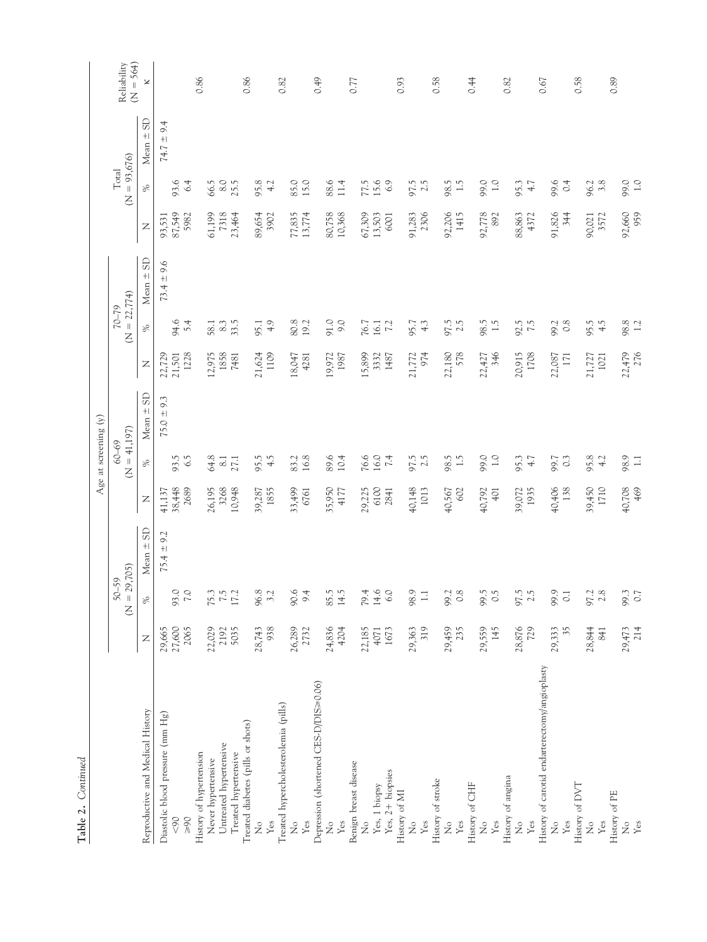| í      |
|--------|
|        |
| ٦<br>Í |

 $\overline{1}$ 

|                                               |        |                             |                     |              | Age at screening $(y)$      |                          |                    |                             |                |                  |                         |                         |                            |
|-----------------------------------------------|--------|-----------------------------|---------------------|--------------|-----------------------------|--------------------------|--------------------|-----------------------------|----------------|------------------|-------------------------|-------------------------|----------------------------|
|                                               |        | $(N = 29,705)$<br>$50 - 59$ |                     |              | $60 - 69$<br>$\overline{z}$ | $= 41,197$               |                    | $(N = 22,774)$<br>$62 - 22$ |                |                  | $(N = 93,676)$<br>Total |                         | Reliability<br>$(N = 564)$ |
| Reproductive and Medical History              | Z      | 里                           | GS<br>$+1$<br>Mean: | $\mathsf{Z}$ | $\%$                        | <b>G</b><br>$+1$<br>Mean | $\mathbb{Z}$       | $\%$                        | $-5D$<br>Mean  | $\overline{z}$   | $\%$                    | <b>GS</b><br>Mean $\pm$ | ¥                          |
| Diastolic blood pressure (mm Hg)              | 29,665 |                             | $75.4 \pm 9.2$      | 41,137       |                             | 9.3<br>$75.0 \pm$        | 22,729             |                             | $73.4 \pm 9.6$ | 93,531           |                         | $74.7 \pm 9.4$          |                            |
| $< 90$                                        | 27,600 | 93.0                        |                     | 38,448       | 93.5                        |                          | 21,501             | 94.6<br>5.4                 |                | 87,549           | 93.6                    |                         |                            |
| History of hypertension<br>$06<$              | 2065   |                             |                     | 2689         | 6.5                         |                          | 1228               |                             |                | 5982             | 6.4                     |                         | 0.86                       |
| Never hypertensive                            | 22,029 |                             |                     | 26,195       |                             |                          | 12,975             | 58.1                        |                | 61,199           | 66.5                    |                         |                            |
| Untreated hypertensive                        | 2192   | $75.3$<br>$7.5$<br>$17.2$   |                     | 3268         | $64.8$<br>8.1               |                          | 1858               | 8.3                         |                | 7318             | 8.0                     |                         |                            |
| Treated hypertensive                          | 5035   |                             |                     | 10,948       | 27.1                        |                          | 7481               | 33.5                        |                | 23,464           | 25.5                    |                         |                            |
| Treated diabetes (pills or shots)             |        |                             |                     |              |                             |                          |                    |                             |                |                  |                         |                         | 0.86                       |
| ż                                             | 28,743 | 96.8<br>3.2                 |                     | 39,287       | 95.5                        |                          | 21,624             | 95.1                        |                | 89,654           | 95.8                    |                         |                            |
| Treated hypercholesterolemia (pills)<br>Yes   | 938    |                             |                     | 1855         | 4.5                         |                          | 1109               | 4.9                         |                | 3902             | 4.2                     |                         | 0.82                       |
| ż                                             | 26,289 | $\circ$<br>S.               |                     | 33,499       | 83.2                        |                          | 18,047             | 80.8                        |                |                  | 85.0                    |                         |                            |
| Yes                                           | 2732   | 4<br>$\circ$                |                     | 6761         | 16.8                        |                          | 4281               | 19.2                        |                | 77,835<br>13,774 | 15.0                    |                         |                            |
| Depression (shortened CES-D/DIS=0.06)         |        |                             |                     |              |                             |                          |                    |                             |                |                  |                         |                         | 0.49                       |
| ż                                             | 24,836 | r.<br>85.                   |                     | 35,950       | 89.6                        |                          | 19,972             | 91.0                        |                |                  | 88.6                    |                         |                            |
| Yes                                           | 4204   | 14.5                        |                     | 4177         | 10.4                        |                          | 1987               | 9.0                         |                | 80,758<br>10,368 | 11.4                    |                         |                            |
| Benign breast disease                         |        |                             |                     |              |                             |                          |                    |                             |                |                  |                         |                         | 0.77                       |
| $\frac{1}{2}$                                 | 22,185 | 4.<br>79.                   |                     | 29,225       |                             |                          | 15,899             | 76.7                        |                | 67,309<br>13,503 |                         |                         |                            |
| Yes, 1 biopsy                                 | 4071   | 14.6                        |                     | 6100         | $76.0$<br>16.0<br>7.4       |                          | 3332               | 16.1                        |                |                  | 77.5                    |                         |                            |
| $Yes, 2+ biopsies$                            | 1673   | 6.0                         |                     | 2841         |                             |                          | 1487               | 7.2                         |                | 6001             | 6.9                     |                         |                            |
| History of MI                                 |        |                             |                     |              |                             |                          |                    |                             |                |                  |                         |                         | 0.93                       |
| $\mathsf{S}^{\circ}$                          | 29,363 | 98.9                        |                     | 40,148       | 97.5                        |                          | 21,772             | 95.7                        |                | 91,283           | 97.5                    |                         |                            |
| Yes                                           | 319    | $\overline{ }$              |                     | 1013         | 2.5                         |                          | 974                | $4.\overline{3}$            |                | 2306             | 2.5                     |                         |                            |
| History of stroke                             |        |                             |                     |              |                             |                          |                    |                             |                |                  |                         |                         | 0.58                       |
| ż                                             | 29,459 | 99.                         |                     | 40,567       | 98.5                        |                          | 22,180             | 97.5                        |                | 92,206           | 98.5                    |                         |                            |
| Yes                                           | 235    | 0.8                         |                     | 602          | 1.5                         |                          | 578                |                             |                | 1415             | 1.5                     |                         |                            |
| History of CHF                                |        |                             |                     |              |                             |                          |                    |                             |                |                  |                         |                         | 0.44                       |
| $\mathcal{\overset{\circ}{\mathsf{z}}}$       | 29,559 | 99.5                        |                     | 40,792       | 99.0                        |                          | 22,427             | 98.5                        |                | 92,778           | 99.0                    |                         |                            |
| Yes                                           | 145    | $\omega$<br>$\circ$         |                     | 401          | $\overline{1.0}$            |                          | 346                | $1.\overline{5}$            |                | 892              | 0.1                     |                         |                            |
| History of angina                             |        |                             |                     |              |                             |                          |                    |                             |                |                  |                         |                         | 0.82                       |
| $\frac{1}{2}$                                 | 28,876 | 97.5                        |                     | 39,072       | 95.3                        |                          | 20,915             | 92.5<br>7.5                 |                | 88,863           | 95.3                    |                         |                            |
| Yes                                           | 729    |                             |                     | 1935         | 4.7                         |                          | 1708               |                             |                | 4372             | 4.7                     |                         |                            |
| History of carotid endarterectomy/angioplasty |        |                             |                     |              |                             |                          |                    |                             |                |                  |                         |                         | 0.67                       |
| ż                                             | 29,333 | 99.9                        |                     | 40,406       | 99.7                        |                          | 22,087             | 99.2                        |                | 91,826           | 99.6                    |                         |                            |
| $\mathbf{Yes}$                                | 35     | $\overline{0}$              |                     | 138          | $\circ$                     |                          | 171                | 0.8                         |                | 344              | 0.4                     |                         |                            |
| History of DVT                                |        |                             |                     |              |                             |                          |                    |                             |                |                  |                         |                         | 0.58                       |
| $\frac{1}{2}$                                 | 28,844 | $97.2$<br>$2.8$             |                     | 39,450       | 95.8                        |                          | $21,727$<br>$1021$ | 95.5                        |                | 90,021           | 96.2                    |                         |                            |
| Yes                                           | 841    |                             |                     | 1710         | 4.2                         |                          |                    | 4.5                         |                | 3572             | 3.8                     |                         |                            |
| History of PE                                 |        |                             |                     |              |                             |                          |                    |                             |                |                  |                         |                         | 0.89                       |
| $\stackrel{\circ}{\mathsf{Z}}$                | 29,473 | 99.3                        |                     | 40,708       | 98.9                        |                          | 22,479             | 98.8<br>1.2                 |                | 92,660           | 99.0                    |                         |                            |
| Yes                                           | 214    |                             |                     | 469          | $\Box$                      |                          | 276                |                             |                | 959              |                         |                         |                            |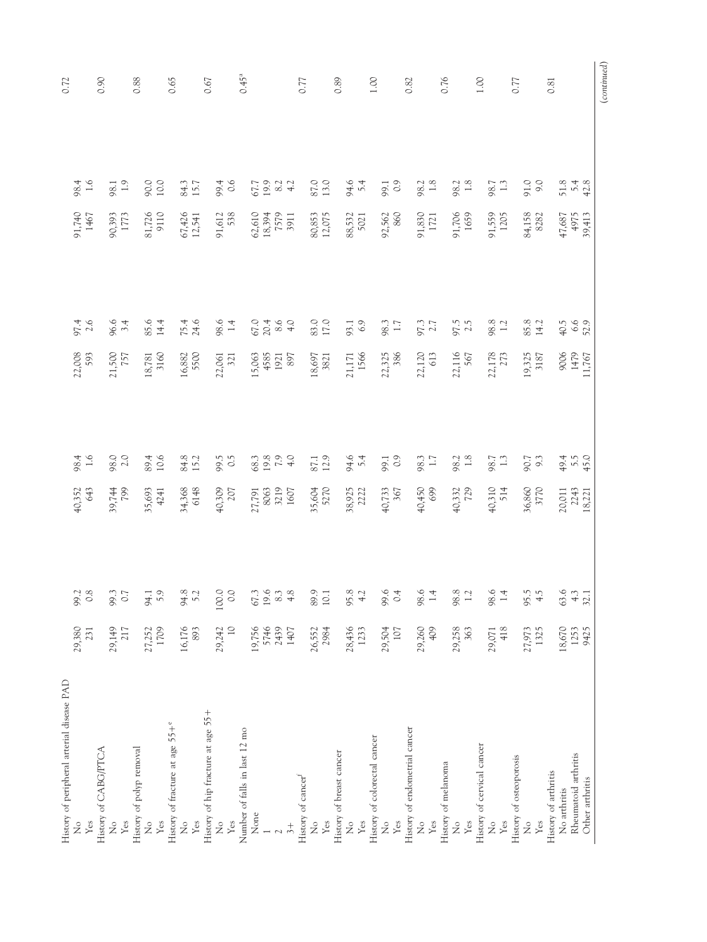| $0.45^{a}$<br>0.90<br>0.89<br>0.76<br>0.88<br>0.65<br>0.67<br>0.77<br>1.00<br>1.00<br>0.77<br>0.82<br>0.81<br>90.0<br>10.0<br>87.0<br>94.6<br>5.4<br>99.1<br>91.0<br>98.4<br>1.6<br>$98.1$<br>1.9<br>84.3<br>99.4<br>0.6<br>$67.7$<br>19.9<br>4.2<br>4.2<br>98.2<br>1.8<br>$98.2$<br>1.8<br>98.7<br>1.3<br>$51.8$<br>$42.8$<br>9110<br>91,740<br>81,726<br>67,426<br>12,541<br>62,610<br>18,394<br>7579<br>3911<br>80,853<br>12,075<br>92,562<br>860<br>91,830<br>1721<br>91,706<br>1659<br>84,158<br>8282<br>4975<br>91,612<br>538<br>91,559<br>1205<br>47,687<br>1467<br>88,532<br>5021<br>90,393<br>1773<br>39,413<br>96.6<br>3.4<br>85.6<br>98.6<br>1.4<br>67884<br>83.0<br>17.0<br>98.8<br>1.2<br>85.8<br>14.2<br>97.4<br>2.6<br>14.4<br>$75.4$<br>24.6<br>6.9<br>98.3<br>1.7<br>97.3<br>97.5<br>$40.5$<br>$6.6$<br>$52.9$<br>93.1<br>22,008<br>3160<br>16,882<br>5500<br>21,171<br>1566<br>22,325<br>386<br>22,120<br>613<br>22,116<br>567<br>22,178<br>19,325<br>3187<br>9006<br>1479<br>593<br>21,500<br>15,063<br>4585<br>1921<br>1921<br>18,697<br>3821<br>18,781<br>22,061<br>321<br>11,767<br>98.0<br>2.0<br>94.6<br>5.4<br>98.4<br>1.6<br>89.4<br>10.6<br>84.8<br>15.2<br>99.5<br>$6304$<br>$790$<br>$790$<br>87.1<br>12.9<br>99.1<br>$49.4$<br>$45.0$<br>$49.4$<br>98.3<br>1.7<br>98.2<br>1.8<br>98.7<br>1.3<br>90.7<br>9.3<br>34,368<br>6148<br>36,860<br>3770<br>40,352<br>39,744<br>8063<br>3219<br>1607<br>35,604<br>5270<br>40,450<br>699<br>40,310<br>514<br>643<br>35,693<br>40,309<br>38,925<br>40,733<br>367<br>40,332<br>20,011<br>2243<br>18,221<br>4241<br>27,791<br>99.2<br>$\frac{8}{3}$<br>99.3<br>$\overline{0.7}$<br>94.1<br>5.9<br>94.8<br>5.2<br>100.0<br>$\frac{1}{2}$<br>67.3<br>19.6<br>$\frac{3}{2}$<br>$\frac{8}{4}$<br>89.9<br>10.1<br>95.8<br>$\div$<br>99.6<br>$\overline{0}$<br>98.6<br>$\overline{14}$<br>98.8<br>$\Xi$<br>98.6<br>$\overline{14}$<br>95.5<br>$\frac{4}{5}$<br>63.6<br>$\div$<br>32.1<br>$\overline{a}$<br>18,670<br>1253<br>29,380<br>1709<br>16,176<br>19,756<br>5746<br>2439<br>28,436<br>29,260<br>29,149<br>217<br>29,242<br>409<br>29,258<br>363<br>418<br>27,973<br>1325<br>27,252<br>893<br>1407<br>26,552<br>2984<br>1233<br>29,504<br>107<br>29,071<br>9425<br>231<br>History of peripheral arterial disease PAD<br>History of hip fracture at age 55+<br>History of fracture at age 55+°<br>History of endometrial cancer<br>Number of falls in last 12 mo<br>History of colorectal cancer<br>History of cervical cancer<br>History of polyp removal<br>History of CABG/PTCA<br>History of breast cancer<br>Rheumatoid arthritis<br>History of osteoporosis<br>History of melanoma<br>History of arthritis<br>History of cancer <sup>f</sup><br>Other arthritis<br>No arthritis<br>None<br>Yes<br>$\mathop{\rm Yes}\nolimits$<br>Yes<br>Yes<br>$\mathop{\mathrm{Yes}}$<br>$\mathop{\rm Yes}\nolimits$<br>$\mathop{\mathrm{Yes}}$<br>Yes<br>Yes<br>Yes<br>$\mathcal{L}^{\circ}$<br>$\frac{1}{2}$<br>Yes<br>$\stackrel{\circ}{\mathsf{Z}}$<br>ż<br>ż<br>$\frac{1}{2}$<br>$\mathcal{L}^{\circ}$<br>$\frac{1}{2}$<br>$\mathcal{\overset{\circ}{\mathsf{z}}}$<br>ż<br>$\frac{1}{2}$<br>$\mathcal{\overset{\circ}{z}}$<br>Yes<br>$\ddot{3} +$<br>$\overline{\mathcal{C}}$ |  |  |  |
|-------------------------------------------------------------------------------------------------------------------------------------------------------------------------------------------------------------------------------------------------------------------------------------------------------------------------------------------------------------------------------------------------------------------------------------------------------------------------------------------------------------------------------------------------------------------------------------------------------------------------------------------------------------------------------------------------------------------------------------------------------------------------------------------------------------------------------------------------------------------------------------------------------------------------------------------------------------------------------------------------------------------------------------------------------------------------------------------------------------------------------------------------------------------------------------------------------------------------------------------------------------------------------------------------------------------------------------------------------------------------------------------------------------------------------------------------------------------------------------------------------------------------------------------------------------------------------------------------------------------------------------------------------------------------------------------------------------------------------------------------------------------------------------------------------------------------------------------------------------------------------------------------------------------------------------------------------------------------------------------------------------------------------------------------------------------------------------------------------------------------------------------------------------------------------------------------------------------------------------------------------------------------------------------------------------------------------------------------------------------------------------------------------------------------------------------------------------------------------------------------------------------------------------------------------------------------------------------------------------------------------------------------------------------------------------------------------------------------------------------------------------------------------------------------------------------------------------------------------------------------------------------------------------------------------------------------------------------------------------------------------------------------------------------------------------------------------------------------------------------------------------------------------------------------------------------------------------------------------------------|--|--|--|
|                                                                                                                                                                                                                                                                                                                                                                                                                                                                                                                                                                                                                                                                                                                                                                                                                                                                                                                                                                                                                                                                                                                                                                                                                                                                                                                                                                                                                                                                                                                                                                                                                                                                                                                                                                                                                                                                                                                                                                                                                                                                                                                                                                                                                                                                                                                                                                                                                                                                                                                                                                                                                                                                                                                                                                                                                                                                                                                                                                                                                                                                                                                                                                                                                                           |  |  |  |
|                                                                                                                                                                                                                                                                                                                                                                                                                                                                                                                                                                                                                                                                                                                                                                                                                                                                                                                                                                                                                                                                                                                                                                                                                                                                                                                                                                                                                                                                                                                                                                                                                                                                                                                                                                                                                                                                                                                                                                                                                                                                                                                                                                                                                                                                                                                                                                                                                                                                                                                                                                                                                                                                                                                                                                                                                                                                                                                                                                                                                                                                                                                                                                                                                                           |  |  |  |
|                                                                                                                                                                                                                                                                                                                                                                                                                                                                                                                                                                                                                                                                                                                                                                                                                                                                                                                                                                                                                                                                                                                                                                                                                                                                                                                                                                                                                                                                                                                                                                                                                                                                                                                                                                                                                                                                                                                                                                                                                                                                                                                                                                                                                                                                                                                                                                                                                                                                                                                                                                                                                                                                                                                                                                                                                                                                                                                                                                                                                                                                                                                                                                                                                                           |  |  |  |
|                                                                                                                                                                                                                                                                                                                                                                                                                                                                                                                                                                                                                                                                                                                                                                                                                                                                                                                                                                                                                                                                                                                                                                                                                                                                                                                                                                                                                                                                                                                                                                                                                                                                                                                                                                                                                                                                                                                                                                                                                                                                                                                                                                                                                                                                                                                                                                                                                                                                                                                                                                                                                                                                                                                                                                                                                                                                                                                                                                                                                                                                                                                                                                                                                                           |  |  |  |
|                                                                                                                                                                                                                                                                                                                                                                                                                                                                                                                                                                                                                                                                                                                                                                                                                                                                                                                                                                                                                                                                                                                                                                                                                                                                                                                                                                                                                                                                                                                                                                                                                                                                                                                                                                                                                                                                                                                                                                                                                                                                                                                                                                                                                                                                                                                                                                                                                                                                                                                                                                                                                                                                                                                                                                                                                                                                                                                                                                                                                                                                                                                                                                                                                                           |  |  |  |
|                                                                                                                                                                                                                                                                                                                                                                                                                                                                                                                                                                                                                                                                                                                                                                                                                                                                                                                                                                                                                                                                                                                                                                                                                                                                                                                                                                                                                                                                                                                                                                                                                                                                                                                                                                                                                                                                                                                                                                                                                                                                                                                                                                                                                                                                                                                                                                                                                                                                                                                                                                                                                                                                                                                                                                                                                                                                                                                                                                                                                                                                                                                                                                                                                                           |  |  |  |
|                                                                                                                                                                                                                                                                                                                                                                                                                                                                                                                                                                                                                                                                                                                                                                                                                                                                                                                                                                                                                                                                                                                                                                                                                                                                                                                                                                                                                                                                                                                                                                                                                                                                                                                                                                                                                                                                                                                                                                                                                                                                                                                                                                                                                                                                                                                                                                                                                                                                                                                                                                                                                                                                                                                                                                                                                                                                                                                                                                                                                                                                                                                                                                                                                                           |  |  |  |
|                                                                                                                                                                                                                                                                                                                                                                                                                                                                                                                                                                                                                                                                                                                                                                                                                                                                                                                                                                                                                                                                                                                                                                                                                                                                                                                                                                                                                                                                                                                                                                                                                                                                                                                                                                                                                                                                                                                                                                                                                                                                                                                                                                                                                                                                                                                                                                                                                                                                                                                                                                                                                                                                                                                                                                                                                                                                                                                                                                                                                                                                                                                                                                                                                                           |  |  |  |
|                                                                                                                                                                                                                                                                                                                                                                                                                                                                                                                                                                                                                                                                                                                                                                                                                                                                                                                                                                                                                                                                                                                                                                                                                                                                                                                                                                                                                                                                                                                                                                                                                                                                                                                                                                                                                                                                                                                                                                                                                                                                                                                                                                                                                                                                                                                                                                                                                                                                                                                                                                                                                                                                                                                                                                                                                                                                                                                                                                                                                                                                                                                                                                                                                                           |  |  |  |
|                                                                                                                                                                                                                                                                                                                                                                                                                                                                                                                                                                                                                                                                                                                                                                                                                                                                                                                                                                                                                                                                                                                                                                                                                                                                                                                                                                                                                                                                                                                                                                                                                                                                                                                                                                                                                                                                                                                                                                                                                                                                                                                                                                                                                                                                                                                                                                                                                                                                                                                                                                                                                                                                                                                                                                                                                                                                                                                                                                                                                                                                                                                                                                                                                                           |  |  |  |
|                                                                                                                                                                                                                                                                                                                                                                                                                                                                                                                                                                                                                                                                                                                                                                                                                                                                                                                                                                                                                                                                                                                                                                                                                                                                                                                                                                                                                                                                                                                                                                                                                                                                                                                                                                                                                                                                                                                                                                                                                                                                                                                                                                                                                                                                                                                                                                                                                                                                                                                                                                                                                                                                                                                                                                                                                                                                                                                                                                                                                                                                                                                                                                                                                                           |  |  |  |
|                                                                                                                                                                                                                                                                                                                                                                                                                                                                                                                                                                                                                                                                                                                                                                                                                                                                                                                                                                                                                                                                                                                                                                                                                                                                                                                                                                                                                                                                                                                                                                                                                                                                                                                                                                                                                                                                                                                                                                                                                                                                                                                                                                                                                                                                                                                                                                                                                                                                                                                                                                                                                                                                                                                                                                                                                                                                                                                                                                                                                                                                                                                                                                                                                                           |  |  |  |
|                                                                                                                                                                                                                                                                                                                                                                                                                                                                                                                                                                                                                                                                                                                                                                                                                                                                                                                                                                                                                                                                                                                                                                                                                                                                                                                                                                                                                                                                                                                                                                                                                                                                                                                                                                                                                                                                                                                                                                                                                                                                                                                                                                                                                                                                                                                                                                                                                                                                                                                                                                                                                                                                                                                                                                                                                                                                                                                                                                                                                                                                                                                                                                                                                                           |  |  |  |
|                                                                                                                                                                                                                                                                                                                                                                                                                                                                                                                                                                                                                                                                                                                                                                                                                                                                                                                                                                                                                                                                                                                                                                                                                                                                                                                                                                                                                                                                                                                                                                                                                                                                                                                                                                                                                                                                                                                                                                                                                                                                                                                                                                                                                                                                                                                                                                                                                                                                                                                                                                                                                                                                                                                                                                                                                                                                                                                                                                                                                                                                                                                                                                                                                                           |  |  |  |
|                                                                                                                                                                                                                                                                                                                                                                                                                                                                                                                                                                                                                                                                                                                                                                                                                                                                                                                                                                                                                                                                                                                                                                                                                                                                                                                                                                                                                                                                                                                                                                                                                                                                                                                                                                                                                                                                                                                                                                                                                                                                                                                                                                                                                                                                                                                                                                                                                                                                                                                                                                                                                                                                                                                                                                                                                                                                                                                                                                                                                                                                                                                                                                                                                                           |  |  |  |
|                                                                                                                                                                                                                                                                                                                                                                                                                                                                                                                                                                                                                                                                                                                                                                                                                                                                                                                                                                                                                                                                                                                                                                                                                                                                                                                                                                                                                                                                                                                                                                                                                                                                                                                                                                                                                                                                                                                                                                                                                                                                                                                                                                                                                                                                                                                                                                                                                                                                                                                                                                                                                                                                                                                                                                                                                                                                                                                                                                                                                                                                                                                                                                                                                                           |  |  |  |
|                                                                                                                                                                                                                                                                                                                                                                                                                                                                                                                                                                                                                                                                                                                                                                                                                                                                                                                                                                                                                                                                                                                                                                                                                                                                                                                                                                                                                                                                                                                                                                                                                                                                                                                                                                                                                                                                                                                                                                                                                                                                                                                                                                                                                                                                                                                                                                                                                                                                                                                                                                                                                                                                                                                                                                                                                                                                                                                                                                                                                                                                                                                                                                                                                                           |  |  |  |
|                                                                                                                                                                                                                                                                                                                                                                                                                                                                                                                                                                                                                                                                                                                                                                                                                                                                                                                                                                                                                                                                                                                                                                                                                                                                                                                                                                                                                                                                                                                                                                                                                                                                                                                                                                                                                                                                                                                                                                                                                                                                                                                                                                                                                                                                                                                                                                                                                                                                                                                                                                                                                                                                                                                                                                                                                                                                                                                                                                                                                                                                                                                                                                                                                                           |  |  |  |
|                                                                                                                                                                                                                                                                                                                                                                                                                                                                                                                                                                                                                                                                                                                                                                                                                                                                                                                                                                                                                                                                                                                                                                                                                                                                                                                                                                                                                                                                                                                                                                                                                                                                                                                                                                                                                                                                                                                                                                                                                                                                                                                                                                                                                                                                                                                                                                                                                                                                                                                                                                                                                                                                                                                                                                                                                                                                                                                                                                                                                                                                                                                                                                                                                                           |  |  |  |
|                                                                                                                                                                                                                                                                                                                                                                                                                                                                                                                                                                                                                                                                                                                                                                                                                                                                                                                                                                                                                                                                                                                                                                                                                                                                                                                                                                                                                                                                                                                                                                                                                                                                                                                                                                                                                                                                                                                                                                                                                                                                                                                                                                                                                                                                                                                                                                                                                                                                                                                                                                                                                                                                                                                                                                                                                                                                                                                                                                                                                                                                                                                                                                                                                                           |  |  |  |
|                                                                                                                                                                                                                                                                                                                                                                                                                                                                                                                                                                                                                                                                                                                                                                                                                                                                                                                                                                                                                                                                                                                                                                                                                                                                                                                                                                                                                                                                                                                                                                                                                                                                                                                                                                                                                                                                                                                                                                                                                                                                                                                                                                                                                                                                                                                                                                                                                                                                                                                                                                                                                                                                                                                                                                                                                                                                                                                                                                                                                                                                                                                                                                                                                                           |  |  |  |
|                                                                                                                                                                                                                                                                                                                                                                                                                                                                                                                                                                                                                                                                                                                                                                                                                                                                                                                                                                                                                                                                                                                                                                                                                                                                                                                                                                                                                                                                                                                                                                                                                                                                                                                                                                                                                                                                                                                                                                                                                                                                                                                                                                                                                                                                                                                                                                                                                                                                                                                                                                                                                                                                                                                                                                                                                                                                                                                                                                                                                                                                                                                                                                                                                                           |  |  |  |
|                                                                                                                                                                                                                                                                                                                                                                                                                                                                                                                                                                                                                                                                                                                                                                                                                                                                                                                                                                                                                                                                                                                                                                                                                                                                                                                                                                                                                                                                                                                                                                                                                                                                                                                                                                                                                                                                                                                                                                                                                                                                                                                                                                                                                                                                                                                                                                                                                                                                                                                                                                                                                                                                                                                                                                                                                                                                                                                                                                                                                                                                                                                                                                                                                                           |  |  |  |
|                                                                                                                                                                                                                                                                                                                                                                                                                                                                                                                                                                                                                                                                                                                                                                                                                                                                                                                                                                                                                                                                                                                                                                                                                                                                                                                                                                                                                                                                                                                                                                                                                                                                                                                                                                                                                                                                                                                                                                                                                                                                                                                                                                                                                                                                                                                                                                                                                                                                                                                                                                                                                                                                                                                                                                                                                                                                                                                                                                                                                                                                                                                                                                                                                                           |  |  |  |
|                                                                                                                                                                                                                                                                                                                                                                                                                                                                                                                                                                                                                                                                                                                                                                                                                                                                                                                                                                                                                                                                                                                                                                                                                                                                                                                                                                                                                                                                                                                                                                                                                                                                                                                                                                                                                                                                                                                                                                                                                                                                                                                                                                                                                                                                                                                                                                                                                                                                                                                                                                                                                                                                                                                                                                                                                                                                                                                                                                                                                                                                                                                                                                                                                                           |  |  |  |
|                                                                                                                                                                                                                                                                                                                                                                                                                                                                                                                                                                                                                                                                                                                                                                                                                                                                                                                                                                                                                                                                                                                                                                                                                                                                                                                                                                                                                                                                                                                                                                                                                                                                                                                                                                                                                                                                                                                                                                                                                                                                                                                                                                                                                                                                                                                                                                                                                                                                                                                                                                                                                                                                                                                                                                                                                                                                                                                                                                                                                                                                                                                                                                                                                                           |  |  |  |
|                                                                                                                                                                                                                                                                                                                                                                                                                                                                                                                                                                                                                                                                                                                                                                                                                                                                                                                                                                                                                                                                                                                                                                                                                                                                                                                                                                                                                                                                                                                                                                                                                                                                                                                                                                                                                                                                                                                                                                                                                                                                                                                                                                                                                                                                                                                                                                                                                                                                                                                                                                                                                                                                                                                                                                                                                                                                                                                                                                                                                                                                                                                                                                                                                                           |  |  |  |
|                                                                                                                                                                                                                                                                                                                                                                                                                                                                                                                                                                                                                                                                                                                                                                                                                                                                                                                                                                                                                                                                                                                                                                                                                                                                                                                                                                                                                                                                                                                                                                                                                                                                                                                                                                                                                                                                                                                                                                                                                                                                                                                                                                                                                                                                                                                                                                                                                                                                                                                                                                                                                                                                                                                                                                                                                                                                                                                                                                                                                                                                                                                                                                                                                                           |  |  |  |
|                                                                                                                                                                                                                                                                                                                                                                                                                                                                                                                                                                                                                                                                                                                                                                                                                                                                                                                                                                                                                                                                                                                                                                                                                                                                                                                                                                                                                                                                                                                                                                                                                                                                                                                                                                                                                                                                                                                                                                                                                                                                                                                                                                                                                                                                                                                                                                                                                                                                                                                                                                                                                                                                                                                                                                                                                                                                                                                                                                                                                                                                                                                                                                                                                                           |  |  |  |
|                                                                                                                                                                                                                                                                                                                                                                                                                                                                                                                                                                                                                                                                                                                                                                                                                                                                                                                                                                                                                                                                                                                                                                                                                                                                                                                                                                                                                                                                                                                                                                                                                                                                                                                                                                                                                                                                                                                                                                                                                                                                                                                                                                                                                                                                                                                                                                                                                                                                                                                                                                                                                                                                                                                                                                                                                                                                                                                                                                                                                                                                                                                                                                                                                                           |  |  |  |
|                                                                                                                                                                                                                                                                                                                                                                                                                                                                                                                                                                                                                                                                                                                                                                                                                                                                                                                                                                                                                                                                                                                                                                                                                                                                                                                                                                                                                                                                                                                                                                                                                                                                                                                                                                                                                                                                                                                                                                                                                                                                                                                                                                                                                                                                                                                                                                                                                                                                                                                                                                                                                                                                                                                                                                                                                                                                                                                                                                                                                                                                                                                                                                                                                                           |  |  |  |
|                                                                                                                                                                                                                                                                                                                                                                                                                                                                                                                                                                                                                                                                                                                                                                                                                                                                                                                                                                                                                                                                                                                                                                                                                                                                                                                                                                                                                                                                                                                                                                                                                                                                                                                                                                                                                                                                                                                                                                                                                                                                                                                                                                                                                                                                                                                                                                                                                                                                                                                                                                                                                                                                                                                                                                                                                                                                                                                                                                                                                                                                                                                                                                                                                                           |  |  |  |
|                                                                                                                                                                                                                                                                                                                                                                                                                                                                                                                                                                                                                                                                                                                                                                                                                                                                                                                                                                                                                                                                                                                                                                                                                                                                                                                                                                                                                                                                                                                                                                                                                                                                                                                                                                                                                                                                                                                                                                                                                                                                                                                                                                                                                                                                                                                                                                                                                                                                                                                                                                                                                                                                                                                                                                                                                                                                                                                                                                                                                                                                                                                                                                                                                                           |  |  |  |
|                                                                                                                                                                                                                                                                                                                                                                                                                                                                                                                                                                                                                                                                                                                                                                                                                                                                                                                                                                                                                                                                                                                                                                                                                                                                                                                                                                                                                                                                                                                                                                                                                                                                                                                                                                                                                                                                                                                                                                                                                                                                                                                                                                                                                                                                                                                                                                                                                                                                                                                                                                                                                                                                                                                                                                                                                                                                                                                                                                                                                                                                                                                                                                                                                                           |  |  |  |
|                                                                                                                                                                                                                                                                                                                                                                                                                                                                                                                                                                                                                                                                                                                                                                                                                                                                                                                                                                                                                                                                                                                                                                                                                                                                                                                                                                                                                                                                                                                                                                                                                                                                                                                                                                                                                                                                                                                                                                                                                                                                                                                                                                                                                                                                                                                                                                                                                                                                                                                                                                                                                                                                                                                                                                                                                                                                                                                                                                                                                                                                                                                                                                                                                                           |  |  |  |
|                                                                                                                                                                                                                                                                                                                                                                                                                                                                                                                                                                                                                                                                                                                                                                                                                                                                                                                                                                                                                                                                                                                                                                                                                                                                                                                                                                                                                                                                                                                                                                                                                                                                                                                                                                                                                                                                                                                                                                                                                                                                                                                                                                                                                                                                                                                                                                                                                                                                                                                                                                                                                                                                                                                                                                                                                                                                                                                                                                                                                                                                                                                                                                                                                                           |  |  |  |
|                                                                                                                                                                                                                                                                                                                                                                                                                                                                                                                                                                                                                                                                                                                                                                                                                                                                                                                                                                                                                                                                                                                                                                                                                                                                                                                                                                                                                                                                                                                                                                                                                                                                                                                                                                                                                                                                                                                                                                                                                                                                                                                                                                                                                                                                                                                                                                                                                                                                                                                                                                                                                                                                                                                                                                                                                                                                                                                                                                                                                                                                                                                                                                                                                                           |  |  |  |
|                                                                                                                                                                                                                                                                                                                                                                                                                                                                                                                                                                                                                                                                                                                                                                                                                                                                                                                                                                                                                                                                                                                                                                                                                                                                                                                                                                                                                                                                                                                                                                                                                                                                                                                                                                                                                                                                                                                                                                                                                                                                                                                                                                                                                                                                                                                                                                                                                                                                                                                                                                                                                                                                                                                                                                                                                                                                                                                                                                                                                                                                                                                                                                                                                                           |  |  |  |
|                                                                                                                                                                                                                                                                                                                                                                                                                                                                                                                                                                                                                                                                                                                                                                                                                                                                                                                                                                                                                                                                                                                                                                                                                                                                                                                                                                                                                                                                                                                                                                                                                                                                                                                                                                                                                                                                                                                                                                                                                                                                                                                                                                                                                                                                                                                                                                                                                                                                                                                                                                                                                                                                                                                                                                                                                                                                                                                                                                                                                                                                                                                                                                                                                                           |  |  |  |
|                                                                                                                                                                                                                                                                                                                                                                                                                                                                                                                                                                                                                                                                                                                                                                                                                                                                                                                                                                                                                                                                                                                                                                                                                                                                                                                                                                                                                                                                                                                                                                                                                                                                                                                                                                                                                                                                                                                                                                                                                                                                                                                                                                                                                                                                                                                                                                                                                                                                                                                                                                                                                                                                                                                                                                                                                                                                                                                                                                                                                                                                                                                                                                                                                                           |  |  |  |
|                                                                                                                                                                                                                                                                                                                                                                                                                                                                                                                                                                                                                                                                                                                                                                                                                                                                                                                                                                                                                                                                                                                                                                                                                                                                                                                                                                                                                                                                                                                                                                                                                                                                                                                                                                                                                                                                                                                                                                                                                                                                                                                                                                                                                                                                                                                                                                                                                                                                                                                                                                                                                                                                                                                                                                                                                                                                                                                                                                                                                                                                                                                                                                                                                                           |  |  |  |
|                                                                                                                                                                                                                                                                                                                                                                                                                                                                                                                                                                                                                                                                                                                                                                                                                                                                                                                                                                                                                                                                                                                                                                                                                                                                                                                                                                                                                                                                                                                                                                                                                                                                                                                                                                                                                                                                                                                                                                                                                                                                                                                                                                                                                                                                                                                                                                                                                                                                                                                                                                                                                                                                                                                                                                                                                                                                                                                                                                                                                                                                                                                                                                                                                                           |  |  |  |
|                                                                                                                                                                                                                                                                                                                                                                                                                                                                                                                                                                                                                                                                                                                                                                                                                                                                                                                                                                                                                                                                                                                                                                                                                                                                                                                                                                                                                                                                                                                                                                                                                                                                                                                                                                                                                                                                                                                                                                                                                                                                                                                                                                                                                                                                                                                                                                                                                                                                                                                                                                                                                                                                                                                                                                                                                                                                                                                                                                                                                                                                                                                                                                                                                                           |  |  |  |
|                                                                                                                                                                                                                                                                                                                                                                                                                                                                                                                                                                                                                                                                                                                                                                                                                                                                                                                                                                                                                                                                                                                                                                                                                                                                                                                                                                                                                                                                                                                                                                                                                                                                                                                                                                                                                                                                                                                                                                                                                                                                                                                                                                                                                                                                                                                                                                                                                                                                                                                                                                                                                                                                                                                                                                                                                                                                                                                                                                                                                                                                                                                                                                                                                                           |  |  |  |
|                                                                                                                                                                                                                                                                                                                                                                                                                                                                                                                                                                                                                                                                                                                                                                                                                                                                                                                                                                                                                                                                                                                                                                                                                                                                                                                                                                                                                                                                                                                                                                                                                                                                                                                                                                                                                                                                                                                                                                                                                                                                                                                                                                                                                                                                                                                                                                                                                                                                                                                                                                                                                                                                                                                                                                                                                                                                                                                                                                                                                                                                                                                                                                                                                                           |  |  |  |
|                                                                                                                                                                                                                                                                                                                                                                                                                                                                                                                                                                                                                                                                                                                                                                                                                                                                                                                                                                                                                                                                                                                                                                                                                                                                                                                                                                                                                                                                                                                                                                                                                                                                                                                                                                                                                                                                                                                                                                                                                                                                                                                                                                                                                                                                                                                                                                                                                                                                                                                                                                                                                                                                                                                                                                                                                                                                                                                                                                                                                                                                                                                                                                                                                                           |  |  |  |
|                                                                                                                                                                                                                                                                                                                                                                                                                                                                                                                                                                                                                                                                                                                                                                                                                                                                                                                                                                                                                                                                                                                                                                                                                                                                                                                                                                                                                                                                                                                                                                                                                                                                                                                                                                                                                                                                                                                                                                                                                                                                                                                                                                                                                                                                                                                                                                                                                                                                                                                                                                                                                                                                                                                                                                                                                                                                                                                                                                                                                                                                                                                                                                                                                                           |  |  |  |
|                                                                                                                                                                                                                                                                                                                                                                                                                                                                                                                                                                                                                                                                                                                                                                                                                                                                                                                                                                                                                                                                                                                                                                                                                                                                                                                                                                                                                                                                                                                                                                                                                                                                                                                                                                                                                                                                                                                                                                                                                                                                                                                                                                                                                                                                                                                                                                                                                                                                                                                                                                                                                                                                                                                                                                                                                                                                                                                                                                                                                                                                                                                                                                                                                                           |  |  |  |
|                                                                                                                                                                                                                                                                                                                                                                                                                                                                                                                                                                                                                                                                                                                                                                                                                                                                                                                                                                                                                                                                                                                                                                                                                                                                                                                                                                                                                                                                                                                                                                                                                                                                                                                                                                                                                                                                                                                                                                                                                                                                                                                                                                                                                                                                                                                                                                                                                                                                                                                                                                                                                                                                                                                                                                                                                                                                                                                                                                                                                                                                                                                                                                                                                                           |  |  |  |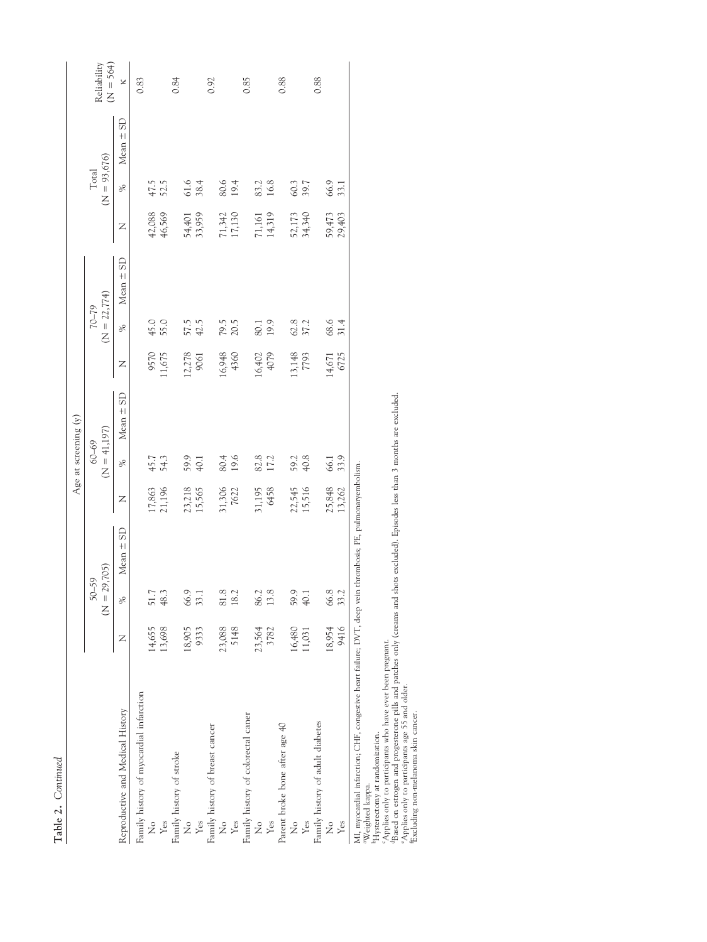|                                                                                             |        |                            |                                    |                  |                             | Age at screening (y) |        |                             |               |                  |                         |               |                            |
|---------------------------------------------------------------------------------------------|--------|----------------------------|------------------------------------|------------------|-----------------------------|----------------------|--------|-----------------------------|---------------|------------------|-------------------------|---------------|----------------------------|
|                                                                                             |        | $50 - 59$<br>$\frac{1}{2}$ | 29,705)                            |                  | $(N = 41,197)$<br>$60 - 69$ |                      |        | $(N = 22,774)$<br>$62 - 02$ |               |                  | $(N = 93,676)$<br>Total |               | $(N = 564)$<br>Reliability |
| Reproductive and Medical History                                                            | Z      | $\%$                       | $Mean \pm SD$                      | Z                | ℅                           | Mean $\pm$ SD        | Z      | %                           | Mean $\pm$ SD | Z                | %                       | $Mean \pm SD$ | ×                          |
| Family history of myocardial infarction                                                     |        |                            |                                    |                  |                             |                      |        |                             |               |                  |                         |               | 0.83                       |
| $\frac{1}{2}$                                                                               | 14,655 | 51.7                       |                                    | 17,863           |                             |                      | 9570   | 45.0                        |               |                  |                         |               |                            |
| Yes                                                                                         | 13,698 | 48.3                       |                                    | 21,196           | 45.7<br>54.3                |                      | 1,675  | 55.0                        |               | 42,088<br>46,569 | 47.5<br>52.5            |               |                            |
| Family history of stroke                                                                    |        |                            |                                    |                  |                             |                      |        |                             |               |                  |                         |               | 0.84                       |
| $\frac{1}{2}$                                                                               | 18,905 | 66.9                       |                                    |                  | 59.9                        |                      | .2,278 |                             |               | 54,401           | 61.6                    |               |                            |
| Yes                                                                                         | 9333   | 33.1                       |                                    | 23,218<br>15,565 | 40.1                        |                      | 9061   | 57.5<br>42.5                |               | 33,959           | 38.4                    |               |                            |
| Family history of breast cancer                                                             |        |                            |                                    |                  |                             |                      |        |                             |               |                  |                         |               | 0.92                       |
| ż                                                                                           | 23,088 | 81.8                       |                                    | 31,306           | 80.4                        |                      | 16,948 | 79.5<br>20.5                |               |                  | 80.6                    |               |                            |
| Yes                                                                                         | 5148   | 18.2                       |                                    | 7622             | 19.6                        |                      | 4360   |                             |               | 71,342<br>17,130 | 19.4                    |               |                            |
| Family history of colorectal caner                                                          |        |                            |                                    |                  |                             |                      |        |                             |               |                  |                         |               | 0.85                       |
| $\frac{1}{2}$                                                                               | 23,564 | 86.2                       |                                    | 31,195           |                             |                      | 16,402 | 80.1                        |               |                  |                         |               |                            |
| Yes                                                                                         | 3782   | 13.8                       |                                    | 6458             | 82.8<br>17.2                |                      | 4079   | 19.9                        |               | 71,161<br>14,319 | 83.2<br>16.8            |               |                            |
| Parent broke bone after age 40                                                              |        |                            |                                    |                  |                             |                      |        |                             |               |                  |                         |               | 0.88                       |
| ż                                                                                           | 16,480 | 59.9                       |                                    |                  | 59.2                        |                      | 13,148 |                             |               |                  | 60.3                    |               |                            |
| Yes                                                                                         | 11,031 | 40.1                       |                                    | 22,545<br>15,516 | 40.8                        |                      | 7793   | 62.8<br>37.2                |               | 52,173<br>34,340 | 39.7                    |               |                            |
| Family history of adult diabetes                                                            |        |                            |                                    |                  |                             |                      |        |                             |               |                  |                         |               | 0.88                       |
| ż                                                                                           | 18,954 | 66.8                       |                                    | 25,848           | 66.1                        |                      | 14,671 | 68.6                        |               | 59,473           | 66.9                    |               |                            |
| Yes                                                                                         | 9416   | 33.2                       |                                    | 13,262           | 33.9                        |                      | 6725   | 31.4                        |               | 29,403           | 33.1                    |               |                            |
| MI, myocardial infarction; CHF, congestive heart failure; DVT, deep vein<br>aWaighted kanna |        |                            | thrombosis; PE, pulmonaryembolism. |                  |                             |                      |        |                             |               |                  |                         |               |                            |

<sup>a</sup>Weighted kappa.<br><sup>b</sup>Hysterectomy at randomization.

"Weighted kappa.<br>"Hysterectny at malomization.<br>"Applerectny at participants who have ever been pregnant.<br>"Applies only to participants age 55 and older.<br>"Applies only to participants age 55 and older.<br>"Excluding non-melano Applies only to participants who have ever been pregnant.<br>Based on estrogen and progesterone pills and patches only (creams and shots excluded). Episodes less than 3 months are excluded.

eApplies only to participants age 55 and older. fExcluding non-melanoma skin cancer.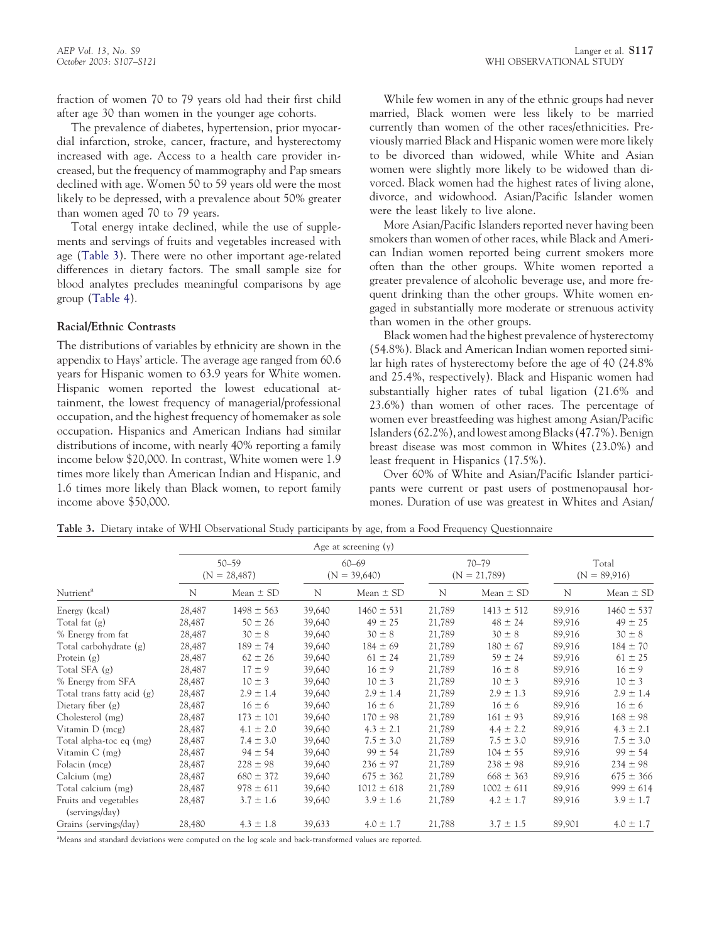fraction of women 70 to 79 years old had their first child after age 30 than women in the younger age cohorts.

The prevalence of diabetes, hypertension, prior myocardial infarction, stroke, cancer, fracture, and hysterectomy increased with age. Access to a health care provider increased, but the frequency of mammography and Pap smears declined with age. Women 50 to 59 years old were the most likely to be depressed, with a prevalence about 50% greater than women aged 70 to 79 years.

Total energy intake declined, while the use of supplements and servings of fruits and vegetables increased with age (Table 3). There were no other important age-related differences in dietary factors. The small sample size for blood analytes precludes meaningful comparisons by age group [\(Table 4\)](#page-11-0).

## **Racial/Ethnic Contrasts**

The distributions of variables by ethnicity are shown in the appendix to Hays' article. The average age ranged from 60.6 years for Hispanic women to 63.9 years for White women. Hispanic women reported the lowest educational attainment, the lowest frequency of managerial/professional occupation, and the highest frequency of homemaker as sole occupation. Hispanics and American Indians had similar distributions of income, with nearly 40% reporting a family income below \$20,000. In contrast, White women were 1.9 times more likely than American Indian and Hispanic, and 1.6 times more likely than Black women, to report family income above \$50,000.

While few women in any of the ethnic groups had never married, Black women were less likely to be married currently than women of the other races/ethnicities. Previously married Black and Hispanic women were more likely to be divorced than widowed, while White and Asian women were slightly more likely to be widowed than divorced. Black women had the highest rates of living alone, divorce, and widowhood. Asian/Pacific Islander women were the least likely to live alone.

More Asian/Pacific Islanders reported never having been smokers than women of other races, while Black and American Indian women reported being current smokers more often than the other groups. White women reported a greater prevalence of alcoholic beverage use, and more frequent drinking than the other groups. White women engaged in substantially more moderate or strenuous activity than women in the other groups.

Black women had the highest prevalence of hysterectomy (54.8%). Black and American Indian women reported similar high rates of hysterectomy before the age of 40 (24.8% and 25.4%, respectively). Black and Hispanic women had substantially higher rates of tubal ligation (21.6% and 23.6%) than women of other races. The percentage of women ever breastfeeding was highest among Asian/Pacific Islanders (62.2%), and lowest among Blacks (47.7%). Benign breast disease was most common in Whites (23.0%) and least frequent in Hispanics (17.5%).

Over 60% of White and Asian/Pacific Islander participants were current or past users of postmenopausal hormones. Duration of use was greatest in Whites and Asian/

**Table 3.** Dietary intake of WHI Observational Study participants by age, from a Food Frequency Questionnaire

|                                         |        |                             |        | Age at screening $(y)$      |        |                             |        |                         |
|-----------------------------------------|--------|-----------------------------|--------|-----------------------------|--------|-----------------------------|--------|-------------------------|
|                                         |        | $50 - 59$<br>$(N = 28,487)$ |        | $60 - 69$<br>$(N = 39,640)$ |        | $70 - 79$<br>$(N = 21,789)$ |        | Total<br>$(N = 89,916)$ |
| Nutrient <sup>a</sup>                   | N      | Mean $\pm$ SD               | N      | Mean $\pm$ SD               | N      | Mean $\pm$ SD               | N      | Mean $\pm$ SD           |
| Energy (kcal)                           | 28,487 | $1498 \pm 563$              | 39,640 | $1460 \pm 531$              | 21,789 | $1413 \pm 512$              | 89,916 | $1460 \pm 537$          |
| Total fat $(g)$                         | 28,487 | $50 \pm 26$                 | 39,640 | $49 \pm 25$                 | 21,789 | $48 \pm 24$                 | 89,916 | $49 \pm 25$             |
| % Energy from fat                       | 28,487 | $30 \pm 8$                  | 39,640 | $30 \pm 8$                  | 21,789 | $30 \pm 8$                  | 89,916 | $30 \pm 8$              |
| Total carbohydrate (g)                  | 28,487 | $189 \pm 74$                | 39,640 | $184 \pm 69$                | 21,789 | $180 \pm 67$                | 89,916 | $184 \pm 70$            |
| Protein $(g)$                           | 28,487 | $62 \pm 26$                 | 39,640 | $61 \pm 24$                 | 21,789 | $59 \pm 24$                 | 89,916 | $61 \pm 25$             |
| Total SFA $(g)$                         | 28,487 | $17 \pm 9$                  | 39,640 | $16 \pm 9$                  | 21,789 | $16 \pm 8$                  | 89,916 | $16 \pm 9$              |
| % Energy from SFA                       | 28,487 | $10 \pm 3$                  | 39,640 | $10 \pm 3$                  | 21,789 | $10 \pm 3$                  | 89,916 | $10 \pm 3$              |
| Total trans fatty acid (g)              | 28,487 | $2.9 \pm 1.4$               | 39,640 | $2.9 \pm 1.4$               | 21,789 | $2.9 \pm 1.3$               | 89,916 | $2.9 \pm 1.4$           |
| Dietary fiber $(g)$                     | 28,487 | $16 \pm 6$                  | 39,640 | $16 \pm 6$                  | 21,789 | $16 \pm 6$                  | 89,916 | $16 \pm 6$              |
| Cholesterol (mg)                        | 28,487 | $173 \pm 101$               | 39,640 | $170 \pm 98$                | 21,789 | $161 \pm 93$                | 89,916 | $168 \pm 98$            |
| Vitamin $D$ (mcg)                       | 28,487 | $4.1 \pm 2.0$               | 39,640 | $4.3 \pm 2.1$               | 21,789 | $4.4 \pm 2.2$               | 89,916 | $4.3 \pm 2.1$           |
| Total alpha-toc eq (mg)                 | 28,487 | $7.4 \pm 3.0$               | 39,640 | $7.5 \pm 3.0$               | 21,789 | $7.5 \pm 3.0$               | 89,916 | $7.5 \pm 3.0$           |
| Vitamin $C$ (mg)                        | 28,487 | $94 \pm 54$                 | 39,640 | $99 \pm 54$                 | 21,789 | $104 \pm 55$                | 89,916 | $99 \pm 54$             |
| Folacin (mcg)                           | 28,487 | $228 \pm 98$                | 39,640 | $236 \pm 97$                | 21,789 | $238 \pm 98$                | 89,916 | $234 \pm 98$            |
| Calcium (mg)                            | 28,487 | $680 \pm 372$               | 39,640 | $675 \pm 362$               | 21,789 | $668 \pm 363$               | 89,916 | $675 \pm 366$           |
| Total calcium (mg)                      | 28,487 | $978 \pm 611$               | 39,640 | $1012 \pm 618$              | 21,789 | $1002 \pm 611$              | 89,916 | $999 \pm 614$           |
| Fruits and vegetables<br>(servings/day) | 28,487 | $3.7 \pm 1.6$               | 39,640 | $3.9 \pm 1.6$               | 21,789 | $4.2 \pm 1.7$               | 89,916 | $3.9 \pm 1.7$           |
| Grains (servings/day)                   | 28,480 | $4.3 \pm 1.8$               | 39,633 | $4.0 \pm 1.7$               | 21,788 | $3.7 \pm 1.5$               | 89,901 | $4.0 \pm 1.7$           |

a Means and standard deviations were computed on the log scale and back-transformed values are reported.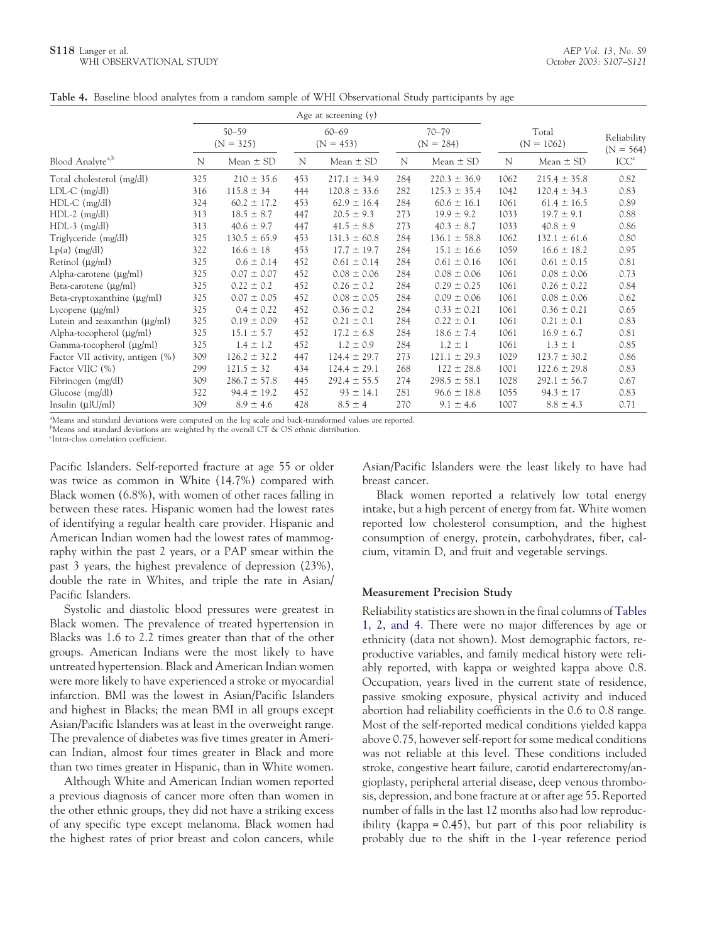#### <span id="page-11-0"></span>**S118** Langer et al. WHI OBSERVATIONAL STUDY

|  |  |  |  |  |  |  |  | Table 4. Baseline blood analytes from a random sample of WHI Observational Study participants by age |  |  |  |  |  |
|--|--|--|--|--|--|--|--|------------------------------------------------------------------------------------------------------|--|--|--|--|--|
|--|--|--|--|--|--|--|--|------------------------------------------------------------------------------------------------------|--|--|--|--|--|

|                                    | Age at screening $(y)$   |                  |                          |                  |                          |                  |                       |                  |                            |  |
|------------------------------------|--------------------------|------------------|--------------------------|------------------|--------------------------|------------------|-----------------------|------------------|----------------------------|--|
| Blood Analyte <sup>a,b</sup>       | $50 - 59$<br>$(N = 325)$ |                  | $60 - 69$<br>$(N = 453)$ |                  | $70 - 79$<br>$(N = 284)$ |                  | Total<br>$(N = 1062)$ |                  | Reliability<br>$(N = 564)$ |  |
|                                    | N                        | Mean $\pm$ SD    | N                        | Mean $\pm$ SD    | N                        | Mean $\pm$ SD    | N                     | Mean $\pm$ SD    | ICC <sup>c</sup>           |  |
| Total cholesterol (mg/dl)          | 325                      | $210 \pm 35.6$   | 453                      | $217.1 \pm 34.9$ | 284                      | $220.3 \pm 36.9$ | 1062                  | $215.4 \pm 35.8$ | 0.82                       |  |
| $LDL-C$ (mg/dl)                    | 316                      | $115.8 \pm 34$   | 444                      | $120.8 \pm 33.6$ | 282                      | $125.3 \pm 35.4$ | 1042                  | $120.4 \pm 34.3$ | 0.83                       |  |
| $HDL-C$ (mg/dl)                    | 324                      | $60.2 \pm 17.2$  | 453                      | $62.9 \pm 16.4$  | 284                      | $60.6 \pm 16.1$  | 1061                  | $61.4 \pm 16.5$  | 0.89                       |  |
| $HDL-2$ (mg/dl)                    | 313                      | $18.5 \pm 8.7$   | 447                      | $20.5 \pm 9.3$   | 273                      | $19.9 \pm 9.2$   | 1033                  | $19.7 \pm 9.1$   | 0.88                       |  |
| $HDL-3$ (mg/dl)                    | 313                      | $40.6 \pm 9.7$   | 447                      | $41.5 \pm 8.8$   | 273                      | $40.3 \pm 8.7$   | 1033                  | $40.8 \pm 9$     | 0.86                       |  |
| Triglyceride (mg/dl)               | 325                      | $130.5 \pm 65.9$ | 453                      | $131.3 \pm 60.8$ | 284                      | $136.1 \pm 58.8$ | 1062                  | $132.1 \pm 61.6$ | 0.80                       |  |
| $Lp(a)$ (mg/dl)                    | 322                      | $16.6 \pm 18$    | 453                      | $17.7 \pm 19.7$  | 284                      | $15.1 \pm 16.6$  | 1059                  | $16.6 \pm 18.2$  | 0.95                       |  |
| Retinol $(\mu g/ml)$               | 325                      | $0.6 \pm 0.14$   | 452                      | $0.61 \pm 0.14$  | 284                      | $0.61 \pm 0.16$  | 1061                  | $0.61 \pm 0.15$  | 0.81                       |  |
| Alpha-carotene $(\mu g/ml)$        | 325                      | $0.07 \pm 0.07$  | 452                      | $0.08 \pm 0.06$  | 284                      | $0.08 \pm 0.06$  | 1061                  | $0.08 \pm 0.06$  | 0.73                       |  |
| Beta-carotene $(\mu g/ml)$         | 325                      | $0.22 \pm 0.2$   | 452                      | $0.26 \pm 0.2$   | 284                      | $0.29 \pm 0.25$  | 1061                  | $0.26 \pm 0.22$  | 0.84                       |  |
| Beta-cryptoxanthine $(\mu g/ml)$   | 325                      | $0.07 \pm 0.05$  | 452                      | $0.08 \pm 0.05$  | 284                      | $0.09 \pm 0.06$  | 1061                  | $0.08 \pm 0.06$  | 0.62                       |  |
| Lycopene $(\mu g/ml)$              | 325                      | $0.4 \pm 0.22$   | 452                      | $0.36 \pm 0.2$   | 284                      | $0.33 \pm 0.21$  | 1061                  | $0.36 \pm 0.21$  | 0.65                       |  |
| Lutein and zeaxanthin $(\mu g/ml)$ | 325                      | $0.19 \pm 0.09$  | 452                      | $0.21 \pm 0.1$   | 284                      | $0.22 \pm 0.1$   | 1061                  | $0.21 \pm 0.1$   | 0.83                       |  |
| Alpha-tocopherol $(\mu g/ml)$      | 325                      | $15.1 \pm 5.7$   | 452                      | $17.2 \pm 6.8$   | 284                      | $18.6 \pm 7.4$   | 1061                  | $16.9 \pm 6.7$   | 0.81                       |  |
| Gamma-tocopherol $(\mu g/ml)$      | 325                      | $1.4 \pm 1.2$    | 452                      | $1.2 \pm 0.9$    | 284                      | $1.2 \pm 1$      | 1061                  | $1.3 \pm 1$      | 0.85                       |  |
| Factor VII activity, antigen (%)   | 309                      | $126.2 \pm 32.2$ | 447                      | $124.4 \pm 29.7$ | 273                      | $121.1 \pm 29.3$ | 1029                  | $123.7 \pm 30.2$ | 0.86                       |  |
| Factor VIIC (%)                    | 299                      | $121.5 \pm 32$   | 434                      | $124.4 \pm 29.1$ | 268                      | $122 \pm 28.8$   | 1001                  | $122.6 \pm 29.8$ | 0.83                       |  |
| Fibrinogen (mg/dl)                 | 309                      | $286.7 \pm 57.8$ | 445                      | $292.4 \pm 55.5$ | 274                      | $298.5 \pm 58.1$ | 1028                  | $292.1 \pm 56.7$ | 0.67                       |  |
| Glucose (mg/dl)                    | 322                      | $94.4 \pm 19.2$  | 452                      | $93 \pm 14.1$    | 281                      | $96.6 \pm 18.8$  | 1055                  | $94.3 \pm 17$    | 0.83                       |  |
| Insulin $(\mu U/ml)$               | 309                      | $8.9 \pm 4.6$    | 428                      | $8.5 \pm 4$      | 270                      | $9.1 \pm 4.6$    | 1007                  | $8.8 \pm 4.3$    | 0.71                       |  |

a Means and standard deviations were computed on the log scale and back-transformed values are reported.

bMeans and standard deviations are weighted by the overall CT & OS ethnic distribution.

c Intra-class correlation coefficient.

Pacific Islanders. Self-reported fracture at age 55 or older was twice as common in White (14.7%) compared with Black women (6.8%), with women of other races falling in between these rates. Hispanic women had the lowest rates of identifying a regular health care provider. Hispanic and American Indian women had the lowest rates of mammography within the past 2 years, or a PAP smear within the past 3 years, the highest prevalence of depression (23%), double the rate in Whites, and triple the rate in Asian/ Pacific Islanders.

Systolic and diastolic blood pressures were greatest in Black women. The prevalence of treated hypertension in Blacks was 1.6 to 2.2 times greater than that of the other groups. American Indians were the most likely to have untreated hypertension. Black and American Indian women were more likely to have experienced a stroke or myocardial infarction. BMI was the lowest in Asian/Pacific Islanders and highest in Blacks; the mean BMI in all groups except Asian/Pacific Islanders was at least in the overweight range. The prevalence of diabetes was five times greater in American Indian, almost four times greater in Black and more than two times greater in Hispanic, than in White women.

Although White and American Indian women reported a previous diagnosis of cancer more often than women in the other ethnic groups, they did not have a striking excess of any specific type except melanoma. Black women had the highest rates of prior breast and colon cancers, while

Asian/Pacific Islanders were the least likely to have had breast cancer.

Black women reported a relatively low total energy intake, but a high percent of energy from fat. White women reported low cholesterol consumption, and the highest consumption of energy, protein, carbohydrates, fiber, calcium, vitamin D, and fruit and vegetable servings.

#### **Measurement Precision Study**

Reliability statistics are shown in the final columns of [Tables](#page-2-0) [1, 2, and 4.](#page-2-0) There were no major differences by age or ethnicity (data not shown). Most demographic factors, reproductive variables, and family medical history were reliably reported, with kappa or weighted kappa above 0.8. Occupation, years lived in the current state of residence, passive smoking exposure, physical activity and induced abortion had reliability coefficients in the 0.6 to 0.8 range. Most of the self-reported medical conditions yielded kappa above 0.75, however self-report for some medical conditions was not reliable at this level. These conditions included stroke, congestive heart failure, carotid endarterectomy/angioplasty, peripheral arterial disease, deep venous thrombosis, depression, and bone fracture at or after age 55. Reported number of falls in the last 12 months also had low reproducibility (kappa = 0.45), but part of this poor reliability is probably due to the shift in the 1-year reference period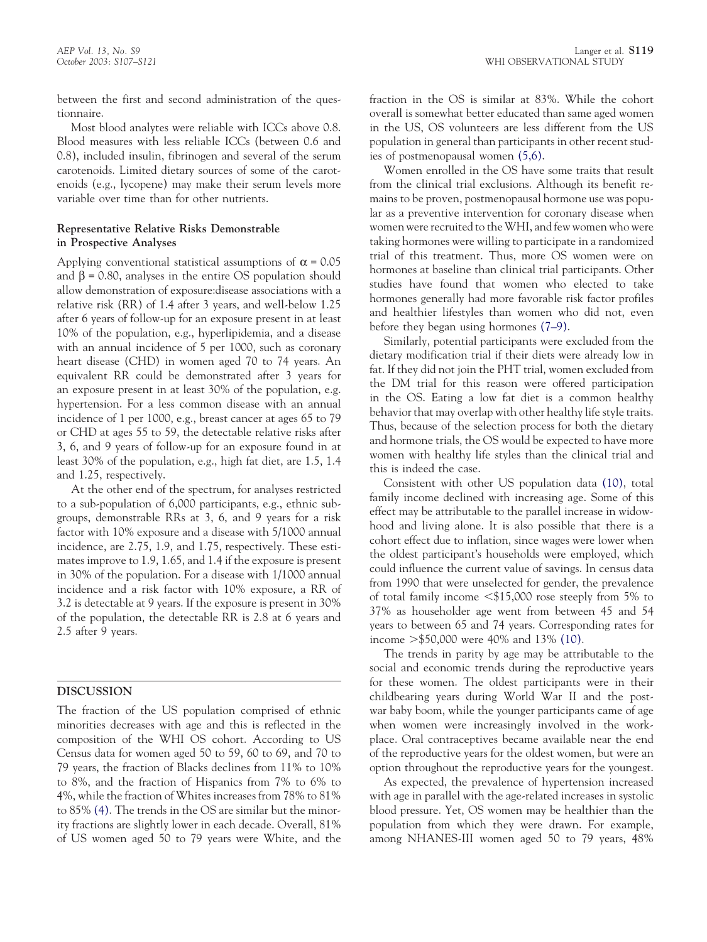between the first and second administration of the questionnaire.

Most blood analytes were reliable with ICCs above 0.8. Blood measures with less reliable ICCs (between 0.6 and 0.8), included insulin, fibrinogen and several of the serum carotenoids. Limited dietary sources of some of the carotenoids (e.g., lycopene) may make their serum levels more variable over time than for other nutrients.

## **Representative Relative Risks Demonstrable in Prospective Analyses**

Applying conventional statistical assumptions of  $\alpha = 0.05$ and  $\beta$  = 0.80, analyses in the entire OS population should allow demonstration of exposure:disease associations with a relative risk (RR) of 1.4 after 3 years, and well-below 1.25 after 6 years of follow-up for an exposure present in at least 10% of the population, e.g., hyperlipidemia, and a disease with an annual incidence of 5 per 1000, such as coronary heart disease (CHD) in women aged 70 to 74 years. An equivalent RR could be demonstrated after 3 years for an exposure present in at least 30% of the population, e.g. hypertension. For a less common disease with an annual incidence of 1 per 1000, e.g., breast cancer at ages 65 to 79 or CHD at ages 55 to 59, the detectable relative risks after 3, 6, and 9 years of follow-up for an exposure found in at least 30% of the population, e.g., high fat diet, are 1.5, 1.4 and 1.25, respectively.

At the other end of the spectrum, for analyses restricted to a sub-population of 6,000 participants, e.g., ethnic subgroups, demonstrable RRs at 3, 6, and 9 years for a risk factor with 10% exposure and a disease with 5/1000 annual incidence, are 2.75, 1.9, and 1.75, respectively. These estimates improve to 1.9, 1.65, and 1.4 if the exposure is present in 30% of the population. For a disease with 1/1000 annual incidence and a risk factor with 10% exposure, a RR of 3.2 is detectable at 9 years. If the exposure is present in 30% of the population, the detectable RR is 2.8 at 6 years and 2.5 after 9 years.

# **DISCUSSION**

The fraction of the US population comprised of ethnic minorities decreases with age and this is reflected in the composition of the WHI OS cohort. According to US Census data for women aged 50 to 59, 60 to 69, and 70 to 79 years, the fraction of Blacks declines from 11% to 10% to 8%, and the fraction of Hispanics from 7% to 6% to 4%, while the fraction of Whites increases from 78% to 81% to 85% [\(4\).](#page-14-0) The trends in the OS are similar but the minority fractions are slightly lower in each decade. Overall, 81% of US women aged 50 to 79 years were White, and the fraction in the OS is similar at 83%. While the cohort overall is somewhat better educated than same aged women in the US, OS volunteers are less different from the US population in general than participants in other recent studies of postmenopausal women [\(5,6\).](#page-14-0)

Women enrolled in the OS have some traits that result from the clinical trial exclusions. Although its benefit remains to be proven, postmenopausal hormone use was popular as a preventive intervention for coronary disease when women were recruited to the WHI, and few women who were taking hormones were willing to participate in a randomized trial of this treatment. Thus, more OS women were on hormones at baseline than clinical trial participants. Other studies have found that women who elected to take hormones generally had more favorable risk factor profiles and healthier lifestyles than women who did not, even before they began using hormones [\(7–9\).](#page-14-0)

Similarly, potential participants were excluded from the dietary modification trial if their diets were already low in fat. If they did not join the PHT trial, women excluded from the DM trial for this reason were offered participation in the OS. Eating a low fat diet is a common healthy behavior that may overlap with other healthy life style traits. Thus, because of the selection process for both the dietary and hormone trials, the OS would be expected to have more women with healthy life styles than the clinical trial and this is indeed the case.

Consistent with other US population data [\(10\),](#page-14-0) total family income declined with increasing age. Some of this effect may be attributable to the parallel increase in widowhood and living alone. It is also possible that there is a cohort effect due to inflation, since wages were lower when the oldest participant's households were employed, which could influence the current value of savings. In census data from 1990 that were unselected for gender, the prevalence of total family income  $$\$15,000$  rose steeply from 5% to 37% as householder age went from between 45 and 54 years to between 65 and 74 years. Corresponding rates for income \$50,000 were 40% and 13% [\(10\).](#page-14-0)

The trends in parity by age may be attributable to the social and economic trends during the reproductive years for these women. The oldest participants were in their childbearing years during World War II and the postwar baby boom, while the younger participants came of age when women were increasingly involved in the workplace. Oral contraceptives became available near the end of the reproductive years for the oldest women, but were an option throughout the reproductive years for the youngest.

As expected, the prevalence of hypertension increased with age in parallel with the age-related increases in systolic blood pressure. Yet, OS women may be healthier than the population from which they were drawn. For example, among NHANES-III women aged 50 to 79 years, 48%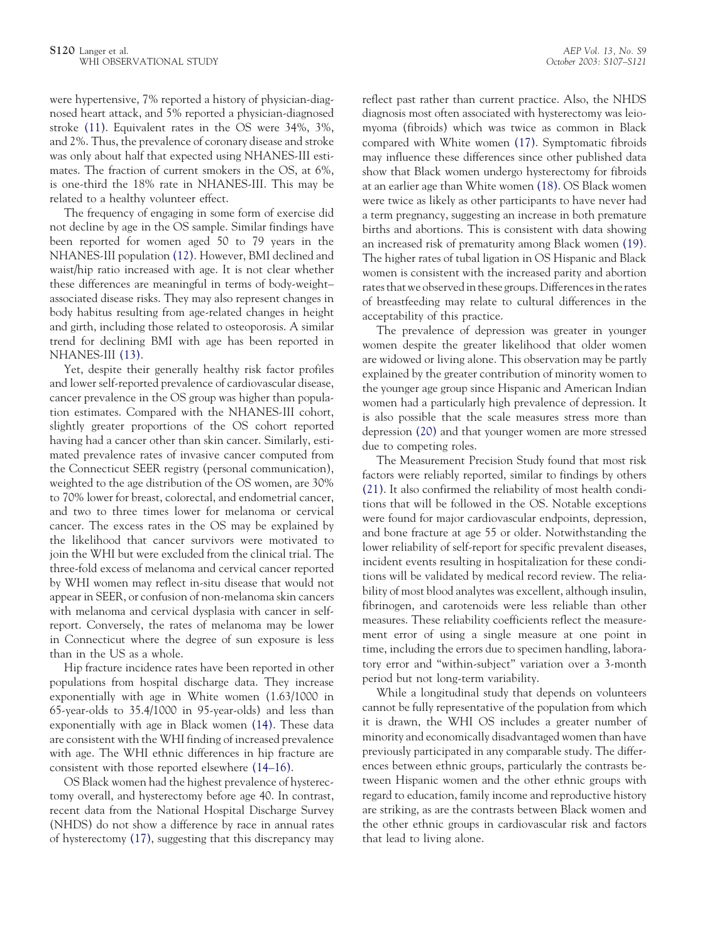were hypertensive, 7% reported a history of physician-diagnosed heart attack, and 5% reported a physician-diagnosed stroke [\(11\).](#page-14-0) Equivalent rates in the OS were 34%, 3%, and 2%. Thus, the prevalence of coronary disease and stroke was only about half that expected using NHANES-III estimates. The fraction of current smokers in the OS, at 6%, is one-third the 18% rate in NHANES-III. This may be related to a healthy volunteer effect.

The frequency of engaging in some form of exercise did not decline by age in the OS sample. Similar findings have been reported for women aged 50 to 79 years in the NHANES-III population [\(12\).](#page-14-0) However, BMI declined and waist/hip ratio increased with age. It is not clear whether these differences are meaningful in terms of body-weight– associated disease risks. They may also represent changes in body habitus resulting from age-related changes in height and girth, including those related to osteoporosis. A similar trend for declining BMI with age has been reported in NHANES-III [\(13\).](#page-14-0)

Yet, despite their generally healthy risk factor profiles and lower self-reported prevalence of cardiovascular disease, cancer prevalence in the OS group was higher than population estimates. Compared with the NHANES-III cohort, slightly greater proportions of the OS cohort reported having had a cancer other than skin cancer. Similarly, estimated prevalence rates of invasive cancer computed from the Connecticut SEER registry (personal communication), weighted to the age distribution of the OS women, are 30% to 70% lower for breast, colorectal, and endometrial cancer, and two to three times lower for melanoma or cervical cancer. The excess rates in the OS may be explained by the likelihood that cancer survivors were motivated to join the WHI but were excluded from the clinical trial. The three-fold excess of melanoma and cervical cancer reported by WHI women may reflect in-situ disease that would not appear in SEER, or confusion of non-melanoma skin cancers with melanoma and cervical dysplasia with cancer in selfreport. Conversely, the rates of melanoma may be lower in Connecticut where the degree of sun exposure is less than in the US as a whole.

Hip fracture incidence rates have been reported in other populations from hospital discharge data. They increase exponentially with age in White women (1.63/1000 in 65-year-olds to 35.4/1000 in 95-year-olds) and less than exponentially with age in Black women [\(14\).](#page-14-0) These data are consistent with the WHI finding of increased prevalence with age. The WHI ethnic differences in hip fracture are consistent with those reported elsewhere [\(14–16\).](#page-14-0)

OS Black women had the highest prevalence of hysterectomy overall, and hysterectomy before age 40. In contrast, recent data from the National Hospital Discharge Survey (NHDS) do not show a difference by race in annual rates of hysterectomy [\(17\),](#page-14-0) suggesting that this discrepancy may

reflect past rather than current practice. Also, the NHDS diagnosis most often associated with hysterectomy was leiomyoma (fibroids) which was twice as common in Black compared with White women [\(17\).](#page-14-0) Symptomatic fibroids may influence these differences since other published data show that Black women undergo hysterectomy for fibroids at an earlier age than White women [\(18\).](#page-14-0) OS Black women were twice as likely as other participants to have never had a term pregnancy, suggesting an increase in both premature births and abortions. This is consistent with data showing an increased risk of prematurity among Black women [\(19\).](#page-14-0) The higher rates of tubal ligation in OS Hispanic and Black women is consistent with the increased parity and abortion rates that we observed in these groups. Differences in the rates of breastfeeding may relate to cultural differences in the acceptability of this practice.

The prevalence of depression was greater in younger women despite the greater likelihood that older women are widowed or living alone. This observation may be partly explained by the greater contribution of minority women to the younger age group since Hispanic and American Indian women had a particularly high prevalence of depression. It is also possible that the scale measures stress more than depression [\(20\)](#page-14-0) and that younger women are more stressed due to competing roles.

The Measurement Precision Study found that most risk factors were reliably reported, similar to findings by others [\(21\).](#page-14-0) It also confirmed the reliability of most health conditions that will be followed in the OS. Notable exceptions were found for major cardiovascular endpoints, depression, and bone fracture at age 55 or older. Notwithstanding the lower reliability of self-report for specific prevalent diseases, incident events resulting in hospitalization for these conditions will be validated by medical record review. The reliability of most blood analytes was excellent, although insulin, fibrinogen, and carotenoids were less reliable than other measures. These reliability coefficients reflect the measurement error of using a single measure at one point in time, including the errors due to specimen handling, laboratory error and "within-subject" variation over a 3-month period but not long-term variability.

While a longitudinal study that depends on volunteers cannot be fully representative of the population from which it is drawn, the WHI OS includes a greater number of minority and economically disadvantaged women than have previously participated in any comparable study. The differences between ethnic groups, particularly the contrasts between Hispanic women and the other ethnic groups with regard to education, family income and reproductive history are striking, as are the contrasts between Black women and the other ethnic groups in cardiovascular risk and factors that lead to living alone.